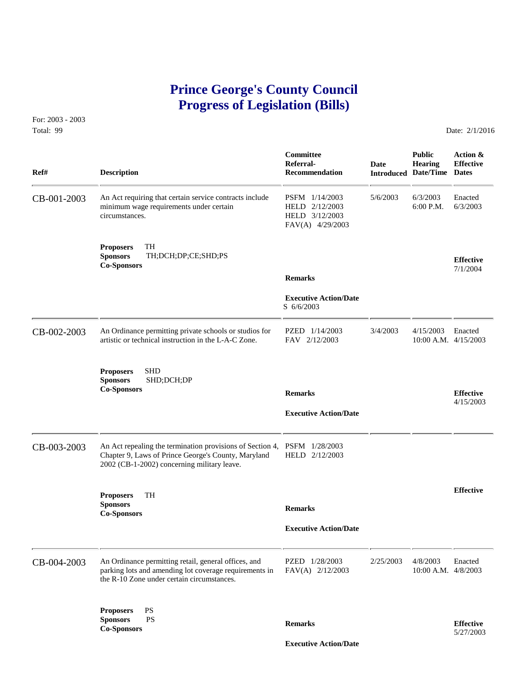# **Prince George's County Council Progress of Legislation (Bills)**

For: 2003 - 2003 Total: 99 Date: 2/1/2016

| Ref#        | <b>Description</b>                                                                                                                                                             | Committee<br>Referral-<br>Recommendation                               | Date      | <b>Public</b><br><b>Hearing</b><br><b>Introduced Date/Time Dates</b> | Action &<br><b>Effective</b>  |
|-------------|--------------------------------------------------------------------------------------------------------------------------------------------------------------------------------|------------------------------------------------------------------------|-----------|----------------------------------------------------------------------|-------------------------------|
| CB-001-2003 | An Act requiring that certain service contracts include<br>minimum wage requirements under certain<br>circumstances.                                                           | PSFM 1/14/2003<br>HELD 2/12/2003<br>HELD 3/12/2003<br>FAV(A) 4/29/2003 | 5/6/2003  | 6/3/2003<br>6:00 P.M.                                                | Enacted<br>6/3/2003           |
|             | TH<br><b>Proposers</b><br>TH;DCH;DP;CE;SHD;PS<br><b>Sponsors</b><br><b>Co-Sponsors</b>                                                                                         | <b>Remarks</b>                                                         |           |                                                                      | <b>Effective</b><br>7/1/2004  |
|             |                                                                                                                                                                                | <b>Executive Action/Date</b><br>$S$ 6/6/2003                           |           |                                                                      |                               |
| CB-002-2003 | An Ordinance permitting private schools or studios for<br>artistic or technical instruction in the L-A-C Zone.                                                                 | PZED 1/14/2003<br>FAV 2/12/2003                                        | 3/4/2003  | 4/15/2003<br>10:00 A.M. 4/15/2003                                    | Enacted                       |
|             | <b>SHD</b><br><b>Proposers</b><br>SHD;DCH;DP<br><b>Sponsors</b><br><b>Co-Sponsors</b>                                                                                          | <b>Remarks</b><br><b>Executive Action/Date</b>                         |           |                                                                      | <b>Effective</b><br>4/15/2003 |
| CB-003-2003 | An Act repealing the termination provisions of Section 4, PSFM 1/28/2003<br>Chapter 9, Laws of Prince George's County, Maryland<br>2002 (CB-1-2002) concerning military leave. | HELD 2/12/2003                                                         |           |                                                                      |                               |
|             | <b>TH</b><br><b>Proposers</b><br><b>Sponsors</b><br><b>Co-Sponsors</b>                                                                                                         | <b>Remarks</b><br><b>Executive Action/Date</b>                         |           |                                                                      | <b>Effective</b>              |
| CB-004-2003 | An Ordinance permitting retail, general offices, and<br>parking lots and amending lot coverage requirements in<br>the R-10 Zone under certain circumstances.                   | PZED 1/28/2003<br>FAV(A) 2/12/2003                                     | 2/25/2003 | 4/8/2003<br>10:00 A.M. 4/8/2003                                      | Enacted                       |
|             | <b>PS</b><br><b>Proposers</b><br>PS<br><b>Sponsors</b><br><b>Co-Sponsors</b>                                                                                                   | <b>Remarks</b><br><b>Executive Action/Date</b>                         |           |                                                                      | <b>Effective</b><br>5/27/2003 |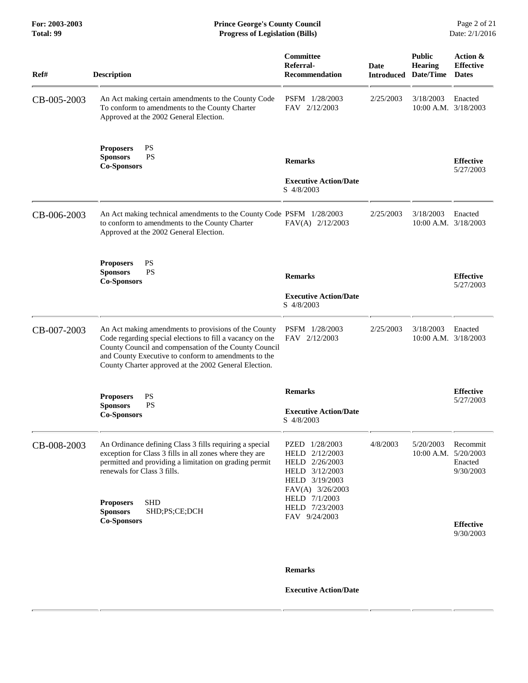| Ref#        | <b>Description</b>                                                                                                                                                                                                                                                                          | Committee<br>Referral-<br><b>Recommendation</b>                                                                             | Date<br><b>Introduced</b> | <b>Public</b><br><b>Hearing</b><br>Date/Time | Action &<br><b>Effective</b><br><b>Dates</b> |
|-------------|---------------------------------------------------------------------------------------------------------------------------------------------------------------------------------------------------------------------------------------------------------------------------------------------|-----------------------------------------------------------------------------------------------------------------------------|---------------------------|----------------------------------------------|----------------------------------------------|
| CB-005-2003 | An Act making certain amendments to the County Code<br>To conform to amendments to the County Charter<br>Approved at the 2002 General Election.                                                                                                                                             | PSFM 1/28/2003<br>FAV 2/12/2003                                                                                             | 2/25/2003                 | 3/18/2003<br>10:00 A.M. 3/18/2003            | Enacted                                      |
|             | <b>PS</b><br><b>Proposers</b><br><b>PS</b><br><b>Sponsors</b><br><b>Co-Sponsors</b>                                                                                                                                                                                                         | <b>Remarks</b><br><b>Executive Action/Date</b><br>S 4/8/2003                                                                |                           |                                              | <b>Effective</b><br>5/27/2003                |
| CB-006-2003 | An Act making technical amendments to the County Code PSFM 1/28/2003<br>to conform to amendments to the County Charter<br>Approved at the 2002 General Election.                                                                                                                            | FAV(A) 2/12/2003                                                                                                            | 2/25/2003                 | 3/18/2003<br>10:00 A.M. 3/18/2003            | Enacted                                      |
|             | <b>PS</b><br><b>Proposers</b><br><b>PS</b><br><b>Sponsors</b><br><b>Co-Sponsors</b>                                                                                                                                                                                                         | <b>Remarks</b><br><b>Executive Action/Date</b><br>S 4/8/2003                                                                |                           |                                              | <b>Effective</b><br>5/27/2003                |
| CB-007-2003 | An Act making amendments to provisions of the County<br>Code regarding special elections to fill a vacancy on the<br>County Council and compensation of the County Council<br>and County Executive to conform to amendments to the<br>County Charter approved at the 2002 General Election. | PSFM 1/28/2003<br>FAV 2/12/2003                                                                                             | 2/25/2003                 | 3/18/2003<br>10:00 A.M. 3/18/2003            | Enacted                                      |
|             | <b>PS</b><br><b>Proposers</b><br><b>PS</b><br><b>Sponsors</b><br><b>Co-Sponsors</b>                                                                                                                                                                                                         | <b>Remarks</b><br><b>Executive Action/Date</b><br>S 4/8/2003                                                                |                           |                                              | <b>Effective</b><br>5/27/2003                |
| CB-008-2003 | An Ordinance defining Class 3 fills requiring a special<br>exception for Class 3 fills in all zones where they are<br>permitted and providing a limitation on grading permit<br>renewals for Class 3 fills.                                                                                 | PZED 1/28/2003<br>HELD 2/12/2003<br>HELD 2/26/2003<br>HELD 3/12/2003<br>HELD 3/19/2003<br>FAV(A) 3/26/2003<br>HELD 7/1/2003 | 4/8/2003                  | 5/20/2003<br>10:00 A.M. 5/20/2003            | Recommit<br>Enacted<br>9/30/2003             |
|             | <b>SHD</b><br><b>Proposers</b><br>SHD;PS;CE;DCH<br><b>Sponsors</b><br><b>Co-Sponsors</b>                                                                                                                                                                                                    | HELD 7/23/2003<br>FAV 9/24/2003                                                                                             |                           |                                              | <b>Effective</b><br>9/30/2003                |
|             |                                                                                                                                                                                                                                                                                             | <b>Remarks</b>                                                                                                              |                           |                                              |                                              |
|             |                                                                                                                                                                                                                                                                                             | <b>Executive Action/Date</b>                                                                                                |                           |                                              |                                              |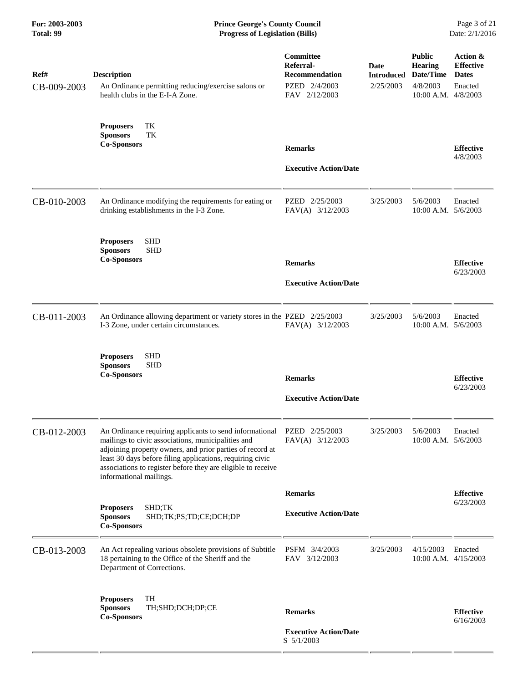| Ref#<br>CB-009-2003 | <b>Description</b><br>An Ordinance permitting reducing/exercise salons or<br>health clubs in the E-I-A Zone.                                                                                                                                                                                                                       | Committee<br>Referral-<br><b>Recommendation</b><br>PZED 2/4/2003<br>FAV 2/12/2003 | <b>Date</b><br><b>Introduced</b><br>2/25/2003 | <b>Public</b><br><b>Hearing</b><br>Date/Time<br>4/8/2003<br>10:00 A.M. 4/8/2003 | Action &<br><b>Effective</b><br><b>Dates</b><br>Enacted |
|---------------------|------------------------------------------------------------------------------------------------------------------------------------------------------------------------------------------------------------------------------------------------------------------------------------------------------------------------------------|-----------------------------------------------------------------------------------|-----------------------------------------------|---------------------------------------------------------------------------------|---------------------------------------------------------|
|                     | TK<br><b>Proposers</b><br><b>Sponsors</b><br>TK<br><b>Co-Sponsors</b>                                                                                                                                                                                                                                                              | <b>Remarks</b><br><b>Executive Action/Date</b>                                    |                                               |                                                                                 | <b>Effective</b><br>4/8/2003                            |
| CB-010-2003         | An Ordinance modifying the requirements for eating or<br>drinking establishments in the I-3 Zone.                                                                                                                                                                                                                                  | PZED 2/25/2003<br>FAV(A) 3/12/2003                                                | 3/25/2003                                     | 5/6/2003<br>10:00 A.M. 5/6/2003                                                 | Enacted                                                 |
|                     | <b>SHD</b><br><b>Proposers</b><br><b>Sponsors</b><br><b>SHD</b><br><b>Co-Sponsors</b>                                                                                                                                                                                                                                              | <b>Remarks</b><br><b>Executive Action/Date</b>                                    |                                               |                                                                                 | <b>Effective</b><br>6/23/2003                           |
| CB-011-2003         | An Ordinance allowing department or variety stores in the PZED 2/25/2003<br>I-3 Zone, under certain circumstances.                                                                                                                                                                                                                 | FAV(A) 3/12/2003                                                                  | 3/25/2003                                     | 5/6/2003<br>10:00 A.M. 5/6/2003                                                 | Enacted                                                 |
|                     | <b>SHD</b><br><b>Proposers</b><br><b>SHD</b><br><b>Sponsors</b><br><b>Co-Sponsors</b>                                                                                                                                                                                                                                              | <b>Remarks</b><br><b>Executive Action/Date</b>                                    |                                               |                                                                                 | <b>Effective</b><br>6/23/2003                           |
| CB-012-2003         | An Ordinance requiring applicants to send informational<br>mailings to civic associations, municipalities and<br>adjoining property owners, and prior parties of record at<br>least 30 days before filing applications, requiring civic<br>associations to register before they are eligible to receive<br>informational mailings. | PZED 2/25/2003<br>FAV(A) 3/12/2003                                                | 3/25/2003                                     | 5/6/2003<br>10:00 A.M. 5/6/2003                                                 | Enacted                                                 |
|                     |                                                                                                                                                                                                                                                                                                                                    | <b>Remarks</b>                                                                    |                                               |                                                                                 | <b>Effective</b>                                        |
|                     | <b>Proposers</b><br>SHD;TK<br>SHD;TK;PS;TD;CE;DCH;DP<br><b>Sponsors</b><br><b>Co-Sponsors</b>                                                                                                                                                                                                                                      | <b>Executive Action/Date</b>                                                      |                                               |                                                                                 | 6/23/2003                                               |
| CB-013-2003         | An Act repealing various obsolete provisions of Subtitle<br>18 pertaining to the Office of the Sheriff and the<br>Department of Corrections.                                                                                                                                                                                       | PSFM 3/4/2003<br>FAV 3/12/2003                                                    | 3/25/2003                                     | 4/15/2003<br>10:00 A.M. 4/15/2003                                               | Enacted                                                 |
|                     | <b>Proposers</b><br>TH<br><b>Sponsors</b><br>TH;SHD;DCH;DP;CE<br><b>Co-Sponsors</b>                                                                                                                                                                                                                                                | <b>Remarks</b><br><b>Executive Action/Date</b><br>S 5/1/2003                      |                                               |                                                                                 | <b>Effective</b><br>6/16/2003                           |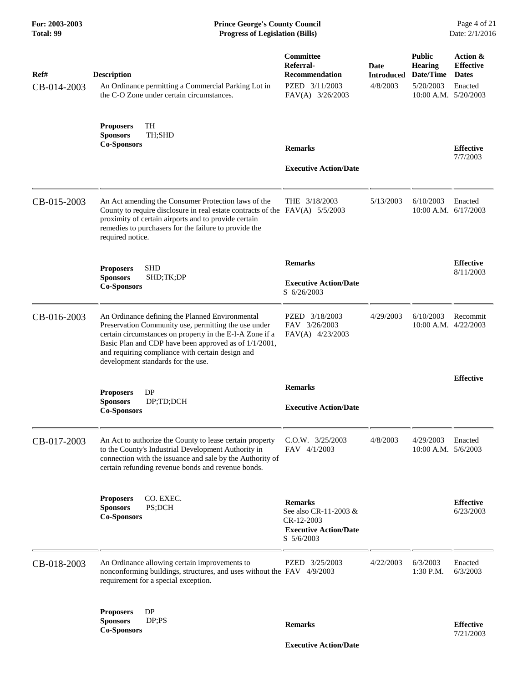| Ref#<br>CB-014-2003 | <b>Description</b><br>An Ordinance permitting a Commercial Parking Lot in<br>the C-O Zone under certain circumstances.                                                                                                                                                                                                 | Committee<br>Referral-<br><b>Recommendation</b><br>PZED 3/11/2003<br>FAV(A) 3/26/2003               | Date<br><b>Introduced</b><br>4/8/2003 | <b>Public</b><br><b>Hearing</b><br>Date/Time<br>5/20/2003<br>$10:00$ A.M. $5/20/2003$ | Action &<br><b>Effective</b><br><b>Dates</b><br>Enacted |
|---------------------|------------------------------------------------------------------------------------------------------------------------------------------------------------------------------------------------------------------------------------------------------------------------------------------------------------------------|-----------------------------------------------------------------------------------------------------|---------------------------------------|---------------------------------------------------------------------------------------|---------------------------------------------------------|
|                     | TH<br><b>Proposers</b><br><b>Sponsors</b><br>TH;SHD<br><b>Co-Sponsors</b>                                                                                                                                                                                                                                              | <b>Remarks</b><br><b>Executive Action/Date</b>                                                      |                                       |                                                                                       | <b>Effective</b><br>7/7/2003                            |
| CB-015-2003         | An Act amending the Consumer Protection laws of the<br>County to require disclosure in real estate contracts of the FAV(A) 5/5/2003<br>proximity of certain airports and to provide certain<br>remedies to purchasers for the failure to provide the<br>required notice.                                               | THE 3/18/2003                                                                                       | 5/13/2003                             | 6/10/2003<br>$10:00$ A.M. $6/17/2003$                                                 | Enacted                                                 |
|                     | <b>SHD</b><br><b>Proposers</b><br><b>Sponsors</b><br>SHD;TK;DP<br><b>Co-Sponsors</b>                                                                                                                                                                                                                                   | <b>Remarks</b><br><b>Executive Action/Date</b><br>S 6/26/2003                                       |                                       |                                                                                       | <b>Effective</b><br>8/11/2003                           |
| CB-016-2003         | An Ordinance defining the Planned Environmental<br>Preservation Community use, permitting the use under<br>certain circumstances on property in the E-I-A Zone if a<br>Basic Plan and CDP have been approved as of 1/1/2001,<br>and requiring compliance with certain design and<br>development standards for the use. | PZED 3/18/2003<br>FAV 3/26/2003<br>FAV(A) 4/23/2003                                                 | 4/29/2003                             | 6/10/2003<br>$10:00$ A.M. $4/22/2003$                                                 | Recommit                                                |
|                     | DP<br><b>Proposers</b><br><b>Sponsors</b><br>DP;TD;DCH<br><b>Co-Sponsors</b>                                                                                                                                                                                                                                           | <b>Remarks</b><br><b>Executive Action/Date</b>                                                      |                                       |                                                                                       | <b>Effective</b>                                        |
| CB-017-2003         | An Act to authorize the County to lease certain property<br>to the County's Industrial Development Authority in<br>connection with the issuance and sale by the Authority of<br>certain refunding revenue bonds and revenue bonds.                                                                                     | C.O.W. 3/25/2003<br>FAV 4/1/2003                                                                    | 4/8/2003                              | 4/29/2003<br>10:00 A.M. 5/6/2003                                                      | Enacted                                                 |
|                     | CO. EXEC.<br><b>Proposers</b><br><b>Sponsors</b><br>PS;DCH<br><b>Co-Sponsors</b>                                                                                                                                                                                                                                       | <b>Remarks</b><br>See also CR-11-2003 &<br>CR-12-2003<br><b>Executive Action/Date</b><br>S 5/6/2003 |                                       |                                                                                       | <b>Effective</b><br>6/23/2003                           |
| CB-018-2003         | An Ordinance allowing certain improvements to<br>nonconforming buildings, structures, and uses without the FAV 4/9/2003<br>requirement for a special exception.                                                                                                                                                        | PZED 3/25/2003                                                                                      | 4/22/2003                             | 6/3/2003<br>1:30 P.M.                                                                 | Enacted<br>6/3/2003                                     |
|                     | <b>Proposers</b><br>DP<br>DP;PS<br><b>Sponsors</b><br><b>Co-Sponsors</b>                                                                                                                                                                                                                                               | <b>Remarks</b>                                                                                      |                                       |                                                                                       | <b>Effective</b><br>7/21/2003                           |

 **Executive Action/Date**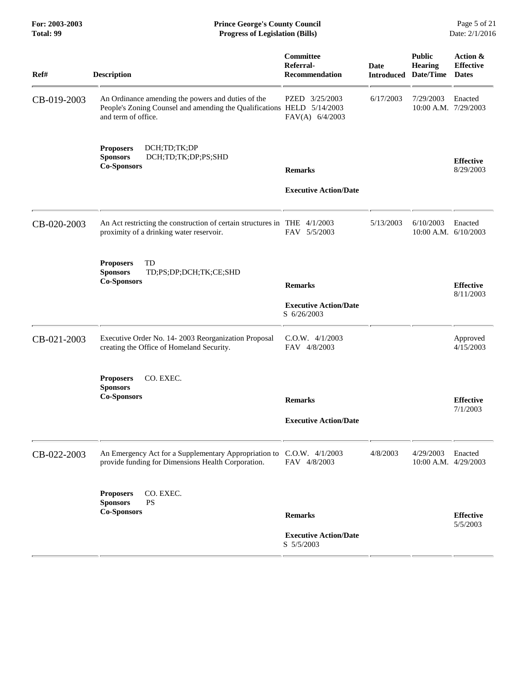#### **For: 2003-2003 Prince George's County Council** Page 5 of 21<br> **Prince George's County Council** Page 5 of 21<br> **Progress of Legislation (Bills)** Date: 2/1/2016 **Total: 99 Progress of Legislation (Bills)**

| Ref#        | <b>Description</b>                                                                                                                                  | Committee<br>Referral-<br>Recommendation                     | <b>Date</b><br><b>Introduced</b> | <b>Public</b><br><b>Hearing</b><br>Date/Time | Action &<br><b>Effective</b><br><b>Dates</b> |
|-------------|-----------------------------------------------------------------------------------------------------------------------------------------------------|--------------------------------------------------------------|----------------------------------|----------------------------------------------|----------------------------------------------|
| CB-019-2003 | An Ordinance amending the powers and duties of the<br>People's Zoning Counsel and amending the Qualifications HELD 5/14/2003<br>and term of office. | PZED 3/25/2003<br>FAV(A) 6/4/2003                            | 6/17/2003                        | 7/29/2003<br>10:00 A.M. 7/29/2003            | Enacted                                      |
|             | DCH;TD;TK;DP<br><b>Proposers</b><br><b>Sponsors</b><br>DCH;TD;TK;DP;PS;SHD<br><b>Co-Sponsors</b>                                                    | <b>Remarks</b>                                               |                                  |                                              | <b>Effective</b><br>8/29/2003                |
|             |                                                                                                                                                     | <b>Executive Action/Date</b>                                 |                                  |                                              |                                              |
| CB-020-2003 | An Act restricting the construction of certain structures in THE 4/1/2003<br>proximity of a drinking water reservoir.                               | FAV 5/5/2003                                                 | 5/13/2003                        | 6/10/2003<br>10:00 A.M. 6/10/2003            | Enacted                                      |
|             | TD<br><b>Proposers</b><br><b>Sponsors</b><br>TD;PS;DP;DCH;TK;CE;SHD<br><b>Co-Sponsors</b>                                                           | <b>Remarks</b><br><b>Executive Action/Date</b>               |                                  |                                              | <b>Effective</b><br>8/11/2003                |
|             |                                                                                                                                                     | S 6/26/2003                                                  |                                  |                                              |                                              |
| CB-021-2003 | Executive Order No. 14-2003 Reorganization Proposal<br>creating the Office of Homeland Security.                                                    | $C.0.W.$ 4/1/2003<br>FAV 4/8/2003                            |                                  |                                              | Approved<br>4/15/2003                        |
|             | CO. EXEC.<br><b>Proposers</b><br><b>Sponsors</b><br><b>Co-Sponsors</b>                                                                              |                                                              |                                  |                                              |                                              |
|             |                                                                                                                                                     | <b>Remarks</b>                                               |                                  |                                              | <b>Effective</b><br>7/1/2003                 |
|             |                                                                                                                                                     | <b>Executive Action/Date</b>                                 |                                  |                                              |                                              |
| CB-022-2003 | An Emergency Act for a Supplementary Appropriation to C.O.W. 4/1/2003<br>provide funding for Dimensions Health Corporation.                         | FAV 4/8/2003                                                 | 4/8/2003                         | 4/29/2003<br>10:00 A.M. 4/29/2003            | Enacted                                      |
|             | CO. EXEC.<br><b>Proposers</b><br><b>Sponsors</b><br><b>PS</b><br><b>Co-Sponsors</b>                                                                 |                                                              |                                  |                                              |                                              |
|             |                                                                                                                                                     | <b>Remarks</b><br><b>Executive Action/Date</b><br>S 5/5/2003 |                                  |                                              | <b>Effective</b><br>5/5/2003                 |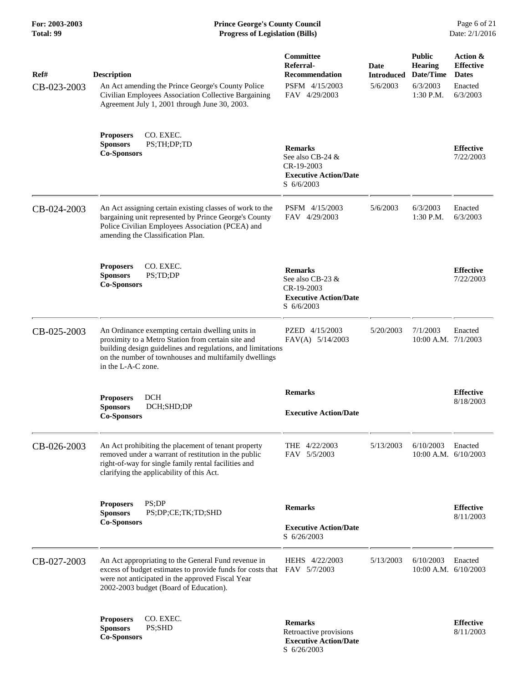| Ref#<br>CB-023-2003 | <b>Description</b><br>An Act amending the Prince George's County Police<br>Civilian Employees Association Collective Bargaining<br>Agreement July 1, 2001 through June 30, 2003.                                                                     | Committee<br>Referral-<br><b>Recommendation</b><br>PSFM 4/15/2003<br>FAV 4/29/2003                        | Date<br><b>Introduced</b><br>5/6/2003 | <b>Public</b><br><b>Hearing</b><br>Date/Time<br>6/3/2003<br>1:30 P.M. | Action &<br><b>Effective</b><br><b>Dates</b><br>Enacted<br>6/3/2003 |
|---------------------|------------------------------------------------------------------------------------------------------------------------------------------------------------------------------------------------------------------------------------------------------|-----------------------------------------------------------------------------------------------------------|---------------------------------------|-----------------------------------------------------------------------|---------------------------------------------------------------------|
|                     | <b>Proposers</b><br>CO. EXEC.<br><b>Sponsors</b><br>PS;TH;DP;TD<br><b>Co-Sponsors</b>                                                                                                                                                                | <b>Remarks</b><br>See also CB-24 &<br>CR-19-2003<br><b>Executive Action/Date</b><br>S 6/6/2003            |                                       |                                                                       | <b>Effective</b><br>7/22/2003                                       |
| CB-024-2003         | An Act assigning certain existing classes of work to the<br>bargaining unit represented by Prince George's County<br>Police Civilian Employees Association (PCEA) and<br>amending the Classification Plan.                                           | PSFM 4/15/2003<br>FAV 4/29/2003                                                                           | 5/6/2003                              | 6/3/2003<br>1:30 P.M.                                                 | Enacted<br>6/3/2003                                                 |
|                     | CO. EXEC.<br><b>Proposers</b><br><b>Sponsors</b><br>PS;TD;DP<br><b>Co-Sponsors</b>                                                                                                                                                                   | <b>Remarks</b><br>See also CB-23 &<br>CR-19-2003<br><b>Executive Action/Date</b><br>$S \frac{6}{6}{2003}$ |                                       |                                                                       | <b>Effective</b><br>7/22/2003                                       |
| CB-025-2003         | An Ordinance exempting certain dwelling units in<br>proximity to a Metro Station from certain site and<br>building design guidelines and regulations, and limitations<br>on the number of townhouses and multifamily dwellings<br>in the L-A-C zone. | PZED 4/15/2003<br>$FAV(A)$ 5/14/2003                                                                      | 5/20/2003                             | 7/1/2003<br>$10:00$ A.M. $7/1/2003$                                   | Enacted                                                             |
|                     | <b>DCH</b><br><b>Proposers</b><br><b>Sponsors</b><br>DCH;SHD;DP<br><b>Co-Sponsors</b>                                                                                                                                                                | <b>Remarks</b><br><b>Executive Action/Date</b>                                                            |                                       |                                                                       | <b>Effective</b><br>8/18/2003                                       |
| CB-026-2003         | An Act prohibiting the placement of tenant property<br>removed under a warrant of restitution in the public<br>right-of-way for single family rental facilities and<br>clarifying the applicability of this Act.                                     | THE 4/22/2003<br>FAV 5/5/2003                                                                             | 5/13/2003                             | 6/10/2003<br>$10:00$ A.M. $6/10/2003$                                 | Enacted                                                             |
|                     | PS:DP<br><b>Proposers</b><br><b>Sponsors</b><br>PS;DP;CE;TK;TD;SHD<br><b>Co-Sponsors</b>                                                                                                                                                             | <b>Remarks</b><br><b>Executive Action/Date</b><br>S 6/26/2003                                             |                                       |                                                                       | <b>Effective</b><br>8/11/2003                                       |
| CB-027-2003         | An Act appropriating to the General Fund revenue in<br>excess of budget estimates to provide funds for costs that<br>were not anticipated in the approved Fiscal Year<br>2002-2003 budget (Board of Education).                                      | HEHS 4/22/2003<br>FAV 5/7/2003                                                                            | 5/13/2003                             | 6/10/2003<br>$10:00$ A.M. $6/10/2003$                                 | Enacted                                                             |
|                     | CO. EXEC.<br><b>Proposers</b><br>PS;SHD<br><b>Sponsors</b><br><b>Co-Sponsors</b>                                                                                                                                                                     | <b>Remarks</b><br>Retroactive provisions<br><b>Executive Action/Date</b><br>S 6/26/2003                   |                                       |                                                                       | <b>Effective</b><br>8/11/2003                                       |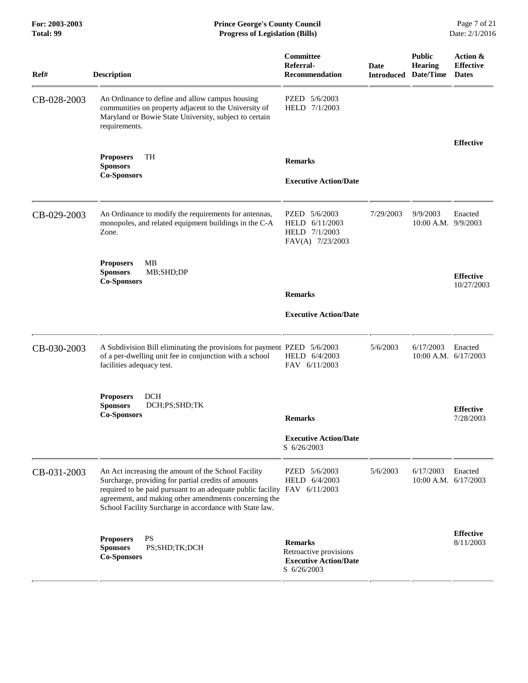#### **For: 2003-2003 Prince George's County Council** Page 7 of 21 **Prince George's County Council** Page 7 of 21 **Progress of Legislation (Bills)** Date: 2/1/2016 **Total: 99 Progress of Legislation (Bills)**

| Ref#        | <b>Description</b>                                                                                                                                                                                                                                                                                          | Committee<br>Referral-<br><b>Recommendation</b>                                         | Date<br><b>Introduced</b> | <b>Public</b><br><b>Hearing</b><br>Date/Time | Action &<br><b>Effective</b><br><b>Dates</b> |
|-------------|-------------------------------------------------------------------------------------------------------------------------------------------------------------------------------------------------------------------------------------------------------------------------------------------------------------|-----------------------------------------------------------------------------------------|---------------------------|----------------------------------------------|----------------------------------------------|
| CB-028-2003 | An Ordinance to define and allow campus housing<br>communities on property adjacent to the University of<br>Maryland or Bowie State University, subject to certain<br>requirements.                                                                                                                         | PZED 5/6/2003<br>HELD 7/1/2003                                                          |                           |                                              |                                              |
|             | <b>Proposers</b><br>TH                                                                                                                                                                                                                                                                                      |                                                                                         |                           |                                              | <b>Effective</b>                             |
|             | <b>Sponsors</b><br><b>Co-Sponsors</b>                                                                                                                                                                                                                                                                       | <b>Remarks</b><br><b>Executive Action/Date</b>                                          |                           |                                              |                                              |
| CB-029-2003 | An Ordinance to modify the requirements for antennas,<br>monopoles, and related equipment buildings in the C-A<br>Zone.                                                                                                                                                                                     | PZED 5/6/2003<br>HELD 6/11/2003<br>HELD 7/1/2003<br>FAV(A) 7/23/2003                    | 7/29/2003                 | 9/9/2003<br>10:00 A.M. 9/9/2003              | Enacted                                      |
|             | <b>Proposers</b><br>MВ<br><b>Sponsors</b><br>MB;SHD;DP<br><b>Co-Sponsors</b>                                                                                                                                                                                                                                | <b>Remarks</b>                                                                          |                           |                                              | <b>Effective</b><br>10/27/2003               |
|             |                                                                                                                                                                                                                                                                                                             | <b>Executive Action/Date</b>                                                            |                           |                                              |                                              |
| CB-030-2003 | A Subdivision Bill eliminating the provisions for payment PZED 5/6/2003<br>of a per-dwelling unit fee in conjunction with a school<br>facilities adequacy test.                                                                                                                                             | HELD 6/4/2003<br>FAV 6/11/2003                                                          | 5/6/2003                  | 6/17/2003<br>$10:00$ A.M. $6/17/2003$        | Enacted                                      |
|             | <b>Proposers</b><br><b>DCH</b><br><b>Sponsors</b><br>DCH;PS;SHD;TK<br><b>Co-Sponsors</b>                                                                                                                                                                                                                    | <b>Remarks</b>                                                                          |                           |                                              | <b>Effective</b><br>7/28/2003                |
|             |                                                                                                                                                                                                                                                                                                             | <b>Executive Action/Date</b><br>S 6/26/2003                                             |                           |                                              |                                              |
| CB-031-2003 | An Act increasing the amount of the School Facility<br>Surcharge, providing for partial credits of amounts<br>required to be paid pursuant to an adequate public facility FAV 6/11/2003<br>agreement, and making other amendments concerning the<br>School Facility Surcharge in accordance with State law. | PZED 5/6/2003<br>HELD<br>6/4/2003                                                       | 5/6/2003                  | 6/17/2003<br>$10:00$ A.M. $6/17/2003$        | Enacted                                      |
|             | <b>Proposers</b><br><b>PS</b><br>PS;SHD;TK;DCH<br><b>Sponsors</b><br><b>Co-Sponsors</b>                                                                                                                                                                                                                     | <b>Remarks</b><br>Retroactive provisions<br><b>Executive Action/Date</b><br>S 6/26/2003 |                           |                                              | <b>Effective</b><br>8/11/2003                |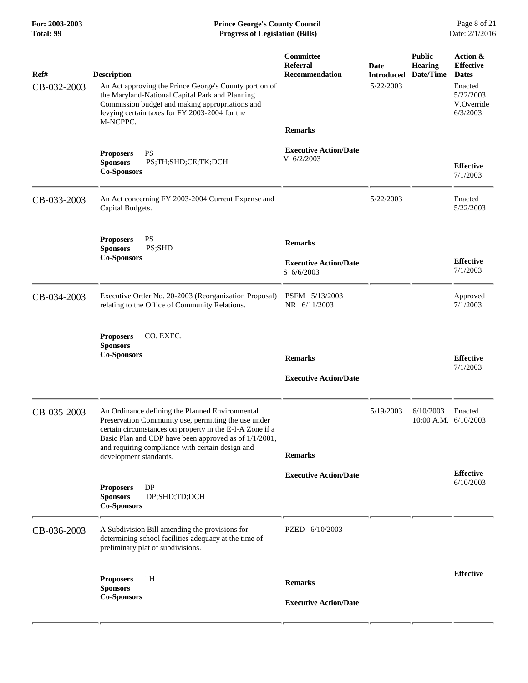## **For: 2003-2003 Prince George's County Council** Page 8 of 21<br> **Prince George's County Council** Page 8 of 21<br> **Progress of Legislation (Bills)** Date: 2/1/2016 **Total: 99 Progress of Legislation (Bills)**

| Ref#        | <b>Description</b>                                                                                                                                                                                                                                                               | Committee<br>Referral-<br><b>Recommendation</b> | Date<br><b>Introduced</b><br>5/22/2003 | <b>Public</b><br><b>Hearing</b><br>Date/Time | Action &<br><b>Effective</b><br><b>Dates</b>   |
|-------------|----------------------------------------------------------------------------------------------------------------------------------------------------------------------------------------------------------------------------------------------------------------------------------|-------------------------------------------------|----------------------------------------|----------------------------------------------|------------------------------------------------|
| CB-032-2003 | An Act approving the Prince George's County portion of<br>the Maryland-National Capital Park and Planning<br>Commission budget and making appropriations and<br>levying certain taxes for FY 2003-2004 for the                                                                   |                                                 |                                        |                                              | Enacted<br>5/22/2003<br>V.Override<br>6/3/2003 |
|             | M-NCPPC.                                                                                                                                                                                                                                                                         | <b>Remarks</b>                                  |                                        |                                              |                                                |
|             | <b>Proposers</b><br><b>PS</b><br>PS;TH;SHD;CE;TK;DCH<br><b>Sponsors</b><br><b>Co-Sponsors</b>                                                                                                                                                                                    | <b>Executive Action/Date</b><br>$V$ 6/2/2003    |                                        |                                              | <b>Effective</b><br>7/1/2003                   |
| CB-033-2003 | An Act concerning FY 2003-2004 Current Expense and<br>Capital Budgets.                                                                                                                                                                                                           |                                                 | 5/22/2003                              |                                              | Enacted<br>5/22/2003                           |
|             | <b>PS</b><br><b>Proposers</b><br>PS;SHD<br><b>Sponsors</b>                                                                                                                                                                                                                       | <b>Remarks</b>                                  |                                        |                                              |                                                |
|             | <b>Co-Sponsors</b>                                                                                                                                                                                                                                                               | <b>Executive Action/Date</b><br>S 6/6/2003      |                                        |                                              | <b>Effective</b><br>7/1/2003                   |
| CB-034-2003 | Executive Order No. 20-2003 (Reorganization Proposal)<br>relating to the Office of Community Relations.                                                                                                                                                                          | PSFM 5/13/2003<br>NR 6/11/2003                  |                                        |                                              | Approved<br>7/1/2003                           |
|             | CO. EXEC.<br><b>Proposers</b><br><b>Sponsors</b><br><b>Co-Sponsors</b>                                                                                                                                                                                                           | <b>Remarks</b><br><b>Executive Action/Date</b>  |                                        |                                              | <b>Effective</b><br>7/1/2003                   |
|             |                                                                                                                                                                                                                                                                                  |                                                 |                                        |                                              |                                                |
| CB-035-2003 | An Ordinance defining the Planned Environmental<br>Preservation Community use, permitting the use under<br>certain circumstances on property in the E-I-A Zone if a<br>Basic Plan and CDP have been approved as of 1/1/2001,<br>and requiring compliance with certain design and |                                                 | 5/19/2003                              | 6/10/2003<br>$10:00$ A.M. $6/10/2003$        | Enacted                                        |
|             | development standards.                                                                                                                                                                                                                                                           | <b>Remarks</b>                                  |                                        |                                              |                                                |
|             |                                                                                                                                                                                                                                                                                  | <b>Executive Action/Date</b>                    |                                        |                                              | <b>Effective</b><br>6/10/2003                  |
|             | <b>DP</b><br><b>Proposers</b><br>DP;SHD;TD;DCH<br><b>Sponsors</b><br><b>Co-Sponsors</b>                                                                                                                                                                                          |                                                 |                                        |                                              |                                                |
| CB-036-2003 | A Subdivision Bill amending the provisions for<br>determining school facilities adequacy at the time of<br>preliminary plat of subdivisions.                                                                                                                                     | PZED 6/10/2003                                  |                                        |                                              |                                                |
|             | TH<br><b>Proposers</b><br><b>Sponsors</b>                                                                                                                                                                                                                                        | <b>Remarks</b>                                  |                                        |                                              | <b>Effective</b>                               |
|             | <b>Co-Sponsors</b>                                                                                                                                                                                                                                                               | <b>Executive Action/Date</b>                    |                                        |                                              |                                                |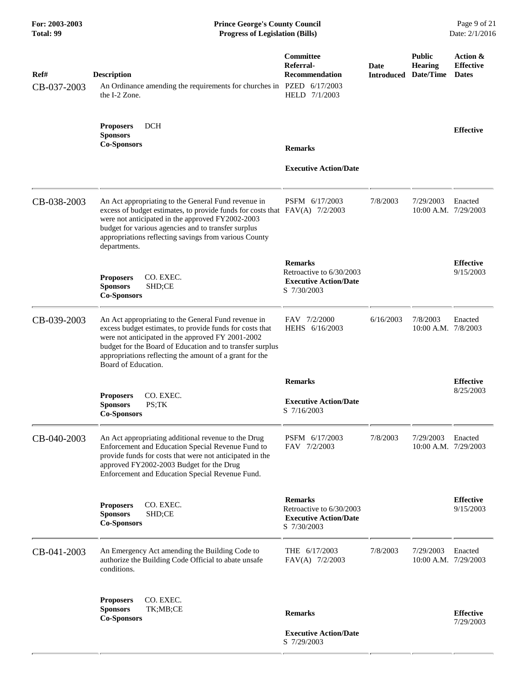**For: 2003-2003 Prince George's County Council** Page 9 of 21<br> **Prince George's County Council** Page 9 of 21<br> **Progress of Legislation (Bills)** Date: 2/1/2016 **Total: 99 Progress of Legislation (Bills)** 

| Ref#<br>CB-037-2003 | <b>Description</b><br>An Ordinance amending the requirements for churches in PZED 6/17/2003<br>the I-2 Zone.                                                                                                                                                                                                           | Committee<br>Referral-<br><b>Recommendation</b><br>HELD 7/1/2003                          | Date      | <b>Public</b><br><b>Hearing</b><br><b>Introduced Date/Time</b> | Action &<br><b>Effective</b><br><b>Dates</b> |
|---------------------|------------------------------------------------------------------------------------------------------------------------------------------------------------------------------------------------------------------------------------------------------------------------------------------------------------------------|-------------------------------------------------------------------------------------------|-----------|----------------------------------------------------------------|----------------------------------------------|
|                     | <b>DCH</b><br><b>Proposers</b><br><b>Sponsors</b><br><b>Co-Sponsors</b>                                                                                                                                                                                                                                                | <b>Remarks</b>                                                                            |           |                                                                | <b>Effective</b>                             |
|                     |                                                                                                                                                                                                                                                                                                                        | <b>Executive Action/Date</b>                                                              |           |                                                                |                                              |
| CB-038-2003         | An Act appropriating to the General Fund revenue in<br>excess of budget estimates, to provide funds for costs that FAV(A) 7/2/2003<br>were not anticipated in the approved FY2002-2003<br>budget for various agencies and to transfer surplus<br>appropriations reflecting savings from various County<br>departments. | PSFM 6/17/2003                                                                            | 7/8/2003  | 7/29/2003<br>10:00 A.M. 7/29/2003                              | Enacted                                      |
|                     | CO. EXEC.<br><b>Proposers</b><br>SHD;CE<br><b>Sponsors</b><br><b>Co-Sponsors</b>                                                                                                                                                                                                                                       | <b>Remarks</b><br>Retroactive to 6/30/2003<br><b>Executive Action/Date</b><br>S 7/30/2003 |           |                                                                | <b>Effective</b><br>9/15/2003                |
| CB-039-2003         | An Act appropriating to the General Fund revenue in<br>excess budget estimates, to provide funds for costs that<br>were not anticipated in the approved FY 2001-2002<br>budget for the Board of Education and to transfer surplus<br>appropriations reflecting the amount of a grant for the<br>Board of Education.    | FAV 7/2/2000<br>HEHS 6/16/2003                                                            | 6/16/2003 | 7/8/2003<br>10:00 A.M. 7/8/2003                                | Enacted                                      |
|                     |                                                                                                                                                                                                                                                                                                                        | <b>Remarks</b>                                                                            |           |                                                                | <b>Effective</b>                             |
|                     | CO. EXEC.<br><b>Proposers</b><br><b>Sponsors</b><br>PS;TK<br><b>Co-Sponsors</b>                                                                                                                                                                                                                                        | <b>Executive Action/Date</b><br>S 7/16/2003                                               |           |                                                                | 8/25/2003                                    |
| CB-040-2003         | An Act appropriating additional revenue to the Drug<br>Enforcement and Education Special Revenue Fund to<br>provide funds for costs that were not anticipated in the<br>approved FY2002-2003 Budget for the Drug<br>Enforcement and Education Special Revenue Fund.                                                    | PSFM 6/17/2003<br>FAV 7/2/2003                                                            | 7/8/2003  | 7/29/2003<br>10:00 A.M. 7/29/2003                              | Enacted                                      |
|                     | <b>Proposers</b><br>CO. EXEC.<br><b>Sponsors</b><br>SHD;CE<br><b>Co-Sponsors</b>                                                                                                                                                                                                                                       | <b>Remarks</b><br>Retroactive to 6/30/2003<br><b>Executive Action/Date</b><br>S 7/30/2003 |           |                                                                | <b>Effective</b><br>9/15/2003                |
| CB-041-2003         | An Emergency Act amending the Building Code to<br>authorize the Building Code Official to abate unsafe<br>conditions.                                                                                                                                                                                                  | THE 6/17/2003<br>FAV(A) 7/2/2003                                                          | 7/8/2003  | 7/29/2003<br>10:00 A.M. 7/29/2003                              | Enacted                                      |
|                     | CO. EXEC.<br><b>Proposers</b><br><b>Sponsors</b><br>TK;MB;CE<br><b>Co-Sponsors</b>                                                                                                                                                                                                                                     | <b>Remarks</b>                                                                            |           |                                                                | <b>Effective</b><br>7/29/2003                |
|                     |                                                                                                                                                                                                                                                                                                                        | <b>Executive Action/Date</b><br>S 7/29/2003                                               |           |                                                                |                                              |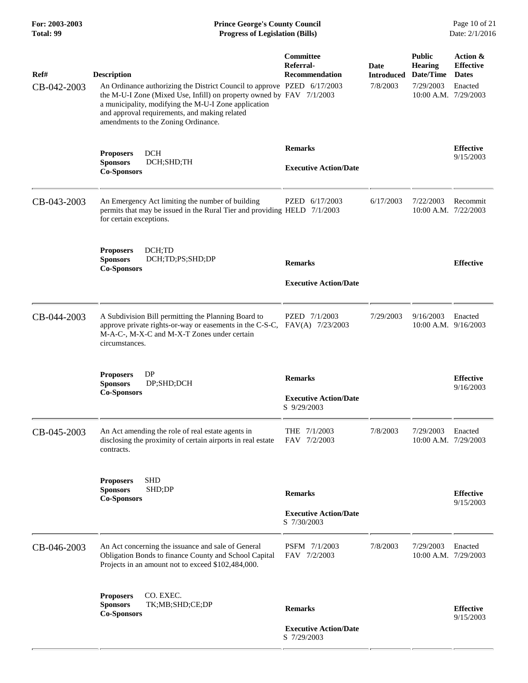## **For: 2003-2003 Prince George's County Council** Page 10 of 21 **Prince George's County Council** Page 10 of 21 **Progress of Legislation (Bills)** Date: 2/1/2016 **Total: 99 Progress of Legislation (Bills)**

| Ref#<br>CB-042-2003 | <b>Description</b><br>An Ordinance authorizing the District Council to approve PZED 6/17/2003<br>the M-U-I Zone (Mixed Use, Infill) on property owned by FAV 7/1/2003<br>a municipality, modifying the M-U-I Zone application<br>and approval requirements, and making related<br>amendments to the Zoning Ordinance. | Committee<br>Referral-<br>Recommendation                      | Date<br><b>Introduced Date/Time</b><br>7/8/2003 | <b>Public</b><br><b>Hearing</b><br>7/29/2003<br>10:00 A.M. 7/29/2003 | Action &<br><b>Effective</b><br><b>Dates</b><br>Enacted |
|---------------------|-----------------------------------------------------------------------------------------------------------------------------------------------------------------------------------------------------------------------------------------------------------------------------------------------------------------------|---------------------------------------------------------------|-------------------------------------------------|----------------------------------------------------------------------|---------------------------------------------------------|
|                     | <b>DCH</b><br><b>Proposers</b><br>DCH;SHD;TH<br><b>Sponsors</b><br><b>Co-Sponsors</b>                                                                                                                                                                                                                                 | <b>Remarks</b><br><b>Executive Action/Date</b>                |                                                 |                                                                      | <b>Effective</b><br>9/15/2003                           |
| CB-043-2003         | An Emergency Act limiting the number of building<br>permits that may be issued in the Rural Tier and providing HELD 7/1/2003<br>for certain exceptions.                                                                                                                                                               | PZED 6/17/2003                                                | 6/17/2003                                       | 7/22/2003<br>10:00 A.M. 7/22/2003                                    | Recommit                                                |
|                     | DCH;TD<br><b>Proposers</b><br><b>Sponsors</b><br>DCH;TD;PS;SHD;DP<br><b>Co-Sponsors</b>                                                                                                                                                                                                                               | <b>Remarks</b><br><b>Executive Action/Date</b>                |                                                 |                                                                      | <b>Effective</b>                                        |
| CB-044-2003         | A Subdivision Bill permitting the Planning Board to<br>approve private rights-or-way or easements in the C-S-C,<br>M-A-C-, M-X-C and M-X-T Zones under certain<br>circumstances.                                                                                                                                      | PZED 7/1/2003<br>FAV(A) 7/23/2003                             | 7/29/2003                                       | 9/16/2003<br>$10:00$ A.M. $9/16/2003$                                | Enacted                                                 |
|                     | DP<br><b>Proposers</b><br><b>Sponsors</b><br>DP;SHD;DCH<br><b>Co-Sponsors</b>                                                                                                                                                                                                                                         | <b>Remarks</b><br><b>Executive Action/Date</b><br>S 9/29/2003 |                                                 |                                                                      | <b>Effective</b><br>9/16/2003                           |
| CB-045-2003         | An Act amending the role of real estate agents in<br>disclosing the proximity of certain airports in real estate<br>contracts.                                                                                                                                                                                        | THE 7/1/2003<br>FAV 7/2/2003                                  | 7/8/2003                                        | 7/29/2003<br>$10:00$ A.M. $7/29/2003$                                | Enacted                                                 |
|                     | <b>SHD</b><br><b>Proposers</b><br><b>Sponsors</b><br>SHD;DP<br><b>Co-Sponsors</b>                                                                                                                                                                                                                                     | <b>Remarks</b><br><b>Executive Action/Date</b><br>S 7/30/2003 |                                                 |                                                                      | <b>Effective</b><br>9/15/2003                           |
| CB-046-2003         | An Act concerning the issuance and sale of General<br>Obligation Bonds to finance County and School Capital<br>Projects in an amount not to exceed \$102,484,000.                                                                                                                                                     | PSFM 7/1/2003<br>FAV 7/2/2003                                 | 7/8/2003                                        | 7/29/2003<br>10:00 A.M. 7/29/2003                                    | Enacted                                                 |
|                     | <b>Proposers</b><br>CO. EXEC.<br>TK;MB;SHD;CE;DP<br><b>Sponsors</b><br><b>Co-Sponsors</b>                                                                                                                                                                                                                             | <b>Remarks</b><br><b>Executive Action/Date</b><br>S 7/29/2003 |                                                 |                                                                      | <b>Effective</b><br>9/15/2003                           |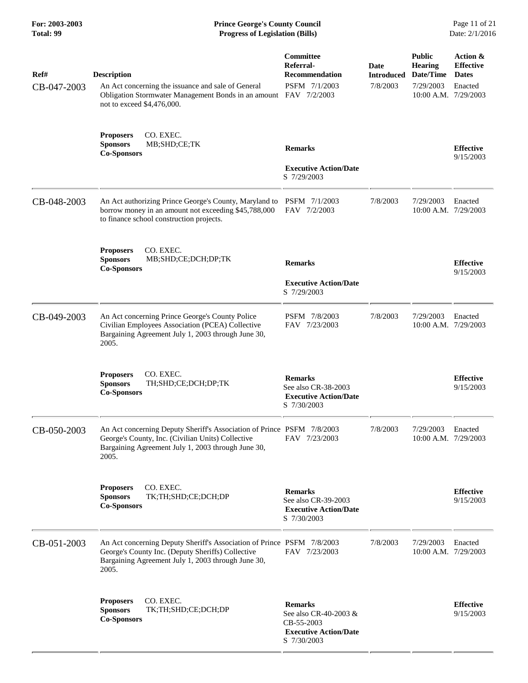#### **For: 2003-2003 Prince George's County Council** Page 11 of 21 **Prince George's County Council** Page 11 of 21 **Progress of Legislation (Bills)** Date: 2/1/2016 **Total: 99 Progress of Legislation (Bills)**

| Ref#<br>CB-047-2003 | <b>Description</b><br>An Act concerning the issuance and sale of General<br>Obligation Stormwater Management Bonds in an amount FAV 7/2/2003<br>not to exceed \$4,476,000.                 | Committee<br>Referral-<br><b>Recommendation</b><br>PSFM 7/1/2003                                     | Date<br><b>Introduced</b><br>7/8/2003 | <b>Public</b><br><b>Hearing</b><br>Date/Time<br>7/29/2003<br>10:00 A.M. 7/29/2003 | Action &<br><b>Effective</b><br><b>Dates</b><br>Enacted |
|---------------------|--------------------------------------------------------------------------------------------------------------------------------------------------------------------------------------------|------------------------------------------------------------------------------------------------------|---------------------------------------|-----------------------------------------------------------------------------------|---------------------------------------------------------|
|                     | CO. EXEC.<br><b>Proposers</b><br>MB;SHD;CE;TK<br><b>Sponsors</b><br><b>Co-Sponsors</b>                                                                                                     | <b>Remarks</b><br><b>Executive Action/Date</b><br>S 7/29/2003                                        |                                       |                                                                                   | <b>Effective</b><br>9/15/2003                           |
| CB-048-2003         | An Act authorizing Prince George's County, Maryland to<br>borrow money in an amount not exceeding \$45,788,000<br>to finance school construction projects.                                 | PSFM 7/1/2003<br>FAV 7/2/2003                                                                        | 7/8/2003                              | 7/29/2003<br>10:00 A.M. 7/29/2003                                                 | Enacted                                                 |
|                     | CO. EXEC.<br><b>Proposers</b><br><b>Sponsors</b><br>MB;SHD;CE;DCH;DP;TK<br><b>Co-Sponsors</b>                                                                                              | <b>Remarks</b><br><b>Executive Action/Date</b><br>S 7/29/2003                                        |                                       |                                                                                   | <b>Effective</b><br>9/15/2003                           |
| CB-049-2003         | An Act concerning Prince George's County Police<br>Civilian Employees Association (PCEA) Collective<br>Bargaining Agreement July 1, 2003 through June 30,<br>2005.                         | PSFM 7/8/2003<br>FAV 7/23/2003                                                                       | 7/8/2003                              | 7/29/2003<br>10:00 A.M. 7/29/2003                                                 | Enacted                                                 |
|                     | CO. EXEC.<br><b>Proposers</b><br><b>Sponsors</b><br>TH;SHD;CE;DCH;DP;TK<br><b>Co-Sponsors</b>                                                                                              | <b>Remarks</b><br>See also CR-38-2003<br><b>Executive Action/Date</b><br>S 7/30/2003                 |                                       |                                                                                   | <b>Effective</b><br>9/15/2003                           |
| CB-050-2003         | An Act concerning Deputy Sheriff's Association of Prince PSFM 7/8/2003<br>George's County, Inc. (Civilian Units) Collective<br>Bargaining Agreement July 1, 2003 through June 30,<br>2005. | FAV 7/23/2003                                                                                        | 7/8/2003                              | 7/29/2003<br>$10:00$ A.M. $7/29/2003$                                             | Enacted                                                 |
|                     | <b>Proposers</b><br>CO. EXEC.<br>TK;TH;SHD;CE;DCH;DP<br><b>Sponsors</b><br><b>Co-Sponsors</b>                                                                                              | <b>Remarks</b><br>See also CR-39-2003<br><b>Executive Action/Date</b><br>S 7/30/2003                 |                                       |                                                                                   | <b>Effective</b><br>9/15/2003                           |
| CB-051-2003         | An Act concerning Deputy Sheriff's Association of Prince PSFM 7/8/2003<br>George's County Inc. (Deputy Sheriffs) Collective<br>Bargaining Agreement July 1, 2003 through June 30,<br>2005. | FAV 7/23/2003                                                                                        | 7/8/2003                              | 7/29/2003<br>10:00 A.M. 7/29/2003                                                 | Enacted                                                 |
|                     | CO. EXEC.<br><b>Proposers</b><br>TK;TH;SHD;CE;DCH;DP<br><b>Sponsors</b><br><b>Co-Sponsors</b>                                                                                              | <b>Remarks</b><br>See also CR-40-2003 &<br>CB-55-2003<br><b>Executive Action/Date</b><br>S 7/30/2003 |                                       |                                                                                   | <b>Effective</b><br>9/15/2003                           |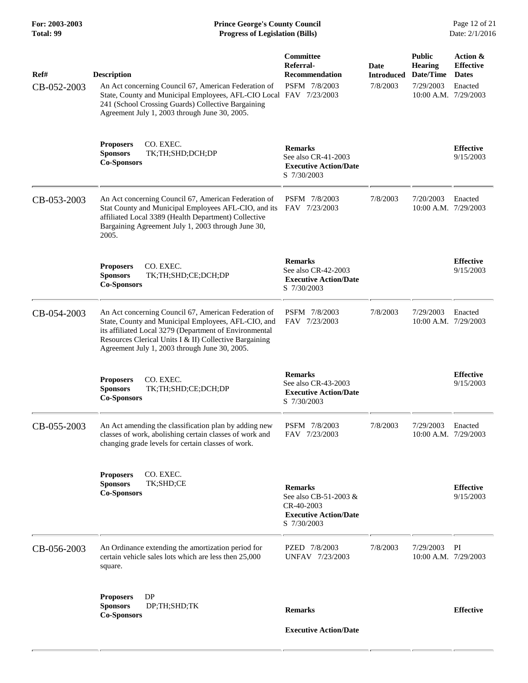| Ref#<br>CB-052-2003 | <b>Description</b><br>An Act concerning Council 67, American Federation of<br>State, County and Municipal Employees, AFL-CIO Local FAV 7/23/2003<br>241 (School Crossing Guards) Collective Bargaining<br>Agreement July 1, 2003 through June 30, 2005.                          | Committee<br>Referral-<br><b>Recommendation</b><br>PSFM 7/8/2003                                     | Date<br><b>Introduced</b><br>7/8/2003 | <b>Public</b><br><b>Hearing</b><br>Date/Time<br>7/29/2003<br>10:00 A.M. 7/29/2003 | Action &<br><b>Effective</b><br><b>Dates</b><br>Enacted |
|---------------------|----------------------------------------------------------------------------------------------------------------------------------------------------------------------------------------------------------------------------------------------------------------------------------|------------------------------------------------------------------------------------------------------|---------------------------------------|-----------------------------------------------------------------------------------|---------------------------------------------------------|
|                     | CO. EXEC.<br><b>Proposers</b><br><b>Sponsors</b><br>TK;TH;SHD;DCH;DP<br><b>Co-Sponsors</b>                                                                                                                                                                                       | <b>Remarks</b><br>See also CR-41-2003<br><b>Executive Action/Date</b><br>S 7/30/2003                 |                                       |                                                                                   | <b>Effective</b><br>9/15/2003                           |
| CB-053-2003         | An Act concerning Council 67, American Federation of<br>Stat County and Municipal Employees AFL-CIO, and its<br>affiliated Local 3389 (Health Department) Collective<br>Bargaining Agreement July 1, 2003 through June 30,<br>2005.                                              | PSFM 7/8/2003<br>FAV 7/23/2003                                                                       | 7/8/2003                              | 7/20/2003<br>10:00 A.M. 7/29/2003                                                 | Enacted                                                 |
|                     | CO. EXEC.<br><b>Proposers</b><br><b>Sponsors</b><br>TK;TH;SHD;CE;DCH;DP<br><b>Co-Sponsors</b>                                                                                                                                                                                    | <b>Remarks</b><br>See also CR-42-2003<br><b>Executive Action/Date</b><br>S 7/30/2003                 |                                       |                                                                                   | <b>Effective</b><br>9/15/2003                           |
| CB-054-2003         | An Act concerning Council 67, American Federation of<br>State, County and Municipal Employees, AFL-CIO, and<br>its affiliated Local 3279 (Department of Environmental<br>Resources Clerical Units I & II) Collective Bargaining<br>Agreement July 1, 2003 through June 30, 2005. | PSFM 7/8/2003<br>FAV 7/23/2003                                                                       | 7/8/2003                              | 7/29/2003<br>10:00 A.M. 7/29/2003                                                 | Enacted                                                 |
|                     | CO. EXEC.<br><b>Proposers</b><br><b>Sponsors</b><br>TK;TH;SHD;CE;DCH;DP<br><b>Co-Sponsors</b>                                                                                                                                                                                    | <b>Remarks</b><br>See also CR-43-2003<br><b>Executive Action/Date</b><br>S 7/30/2003                 |                                       |                                                                                   | <b>Effective</b><br>9/15/2003                           |
| CB-055-2003         | An Act amending the classification plan by adding new<br>classes of work, abolishing certain classes of work and<br>changing grade levels for certain classes of work.                                                                                                           | PSFM 7/8/2003<br>FAV 7/23/2003                                                                       | 7/8/2003                              | 7/29/2003<br>10:00 A.M. 7/29/2003                                                 | Enacted                                                 |
|                     | <b>Proposers</b><br>CO. EXEC.<br>TK;SHD;CE<br><b>Sponsors</b><br><b>Co-Sponsors</b>                                                                                                                                                                                              | <b>Remarks</b><br>See also CB-51-2003 &<br>CR-40-2003<br><b>Executive Action/Date</b><br>S 7/30/2003 |                                       |                                                                                   | <b>Effective</b><br>9/15/2003                           |
| CB-056-2003         | An Ordinance extending the amortization period for<br>certain vehicle sales lots which are less then 25,000<br>square.                                                                                                                                                           | PZED 7/8/2003<br>UNFAV 7/23/2003                                                                     | 7/8/2003                              | 7/29/2003<br>10:00 A.M. 7/29/2003                                                 | PI                                                      |
|                     | DP<br><b>Proposers</b><br><b>Sponsors</b><br>DP;TH;SHD;TK<br><b>Co-Sponsors</b>                                                                                                                                                                                                  | <b>Remarks</b>                                                                                       |                                       |                                                                                   | <b>Effective</b>                                        |
|                     |                                                                                                                                                                                                                                                                                  | <b>Executive Action/Date</b>                                                                         |                                       |                                                                                   |                                                         |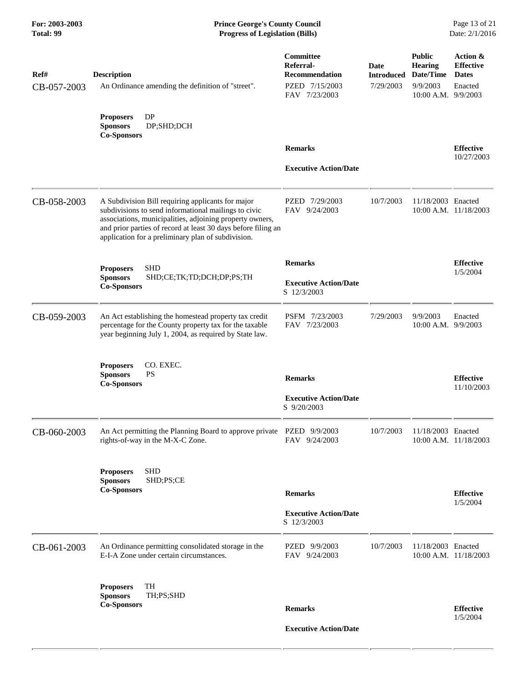| Ref#<br>CB-057-2003 | <b>Description</b><br>An Ordinance amending the definition of "street".                                                                                                                                                                                                                      | Committee<br>Referral-<br><b>Recommendation</b><br>PZED 7/15/2003<br>FAV 7/23/2003 | Date<br><b>Introduced</b><br>7/29/2003 | <b>Public</b><br><b>Hearing</b><br>Date/Time<br>9/9/2003<br>10:00 A.M. 9/9/2003 | Action &<br><b>Effective</b><br><b>Dates</b><br>Enacted |
|---------------------|----------------------------------------------------------------------------------------------------------------------------------------------------------------------------------------------------------------------------------------------------------------------------------------------|------------------------------------------------------------------------------------|----------------------------------------|---------------------------------------------------------------------------------|---------------------------------------------------------|
|                     | <b>DP</b><br><b>Proposers</b><br>DP;SHD;DCH<br><b>Sponsors</b><br><b>Co-Sponsors</b>                                                                                                                                                                                                         | <b>Remarks</b>                                                                     |                                        |                                                                                 | <b>Effective</b><br>10/27/2003                          |
|                     |                                                                                                                                                                                                                                                                                              | <b>Executive Action/Date</b>                                                       |                                        |                                                                                 |                                                         |
| CB-058-2003         | A Subdivision Bill requiring applicants for major<br>subdivisions to send informational mailings to civic<br>associations, municipalities, adjoining property owners,<br>and prior parties of record at least 30 days before filing an<br>application for a preliminary plan of subdivision. | PZED 7/29/2003<br>FAV 9/24/2003                                                    | 10/7/2003                              | 11/18/2003 Enacted                                                              | 10:00 A.M. 11/18/2003                                   |
|                     | <b>SHD</b><br><b>Proposers</b>                                                                                                                                                                                                                                                               | <b>Remarks</b>                                                                     |                                        |                                                                                 | <b>Effective</b>                                        |
|                     | <b>Sponsors</b><br>SHD;CE;TK;TD;DCH;DP;PS;TH<br><b>Co-Sponsors</b>                                                                                                                                                                                                                           | <b>Executive Action/Date</b><br>S 12/3/2003                                        |                                        |                                                                                 | 1/5/2004                                                |
| CB-059-2003         | An Act establishing the homestead property tax credit<br>percentage for the County property tax for the taxable<br>year beginning July 1, 2004, as required by State law.                                                                                                                    | PSFM 7/23/2003<br>FAV 7/23/2003                                                    | 7/29/2003                              | 9/9/2003<br>10:00 A.M. 9/9/2003                                                 | Enacted                                                 |
|                     | <b>Proposers</b><br>CO. EXEC.<br><b>Sponsors</b><br><b>PS</b><br><b>Co-Sponsors</b>                                                                                                                                                                                                          | <b>Remarks</b>                                                                     |                                        |                                                                                 | <b>Effective</b><br>11/10/2003                          |
|                     |                                                                                                                                                                                                                                                                                              | <b>Executive Action/Date</b><br>S 9/20/2003                                        |                                        |                                                                                 |                                                         |
| CB-060-2003         | An Act permitting the Planning Board to approve private PZED 9/9/2003<br>rights-of-way in the M-X-C Zone.                                                                                                                                                                                    | FAV 9/24/2003                                                                      | 10/7/2003                              | 11/18/2003 Enacted                                                              | 10:00 A.M. 11/18/2003                                   |
|                     | <b>Proposers</b><br><b>SHD</b><br><b>Sponsors</b><br>SHD;PS;CE<br><b>Co-Sponsors</b>                                                                                                                                                                                                         | <b>Remarks</b>                                                                     |                                        |                                                                                 | <b>Effective</b>                                        |
|                     |                                                                                                                                                                                                                                                                                              | <b>Executive Action/Date</b><br>S 12/3/2003                                        |                                        |                                                                                 | 1/5/2004                                                |
| CB-061-2003         | An Ordinance permitting consolidated storage in the<br>E-I-A Zone under certain circumstances.                                                                                                                                                                                               | PZED 9/9/2003<br>FAV 9/24/2003                                                     | 10/7/2003                              | 11/18/2003 Enacted                                                              | 10:00 A.M. 11/18/2003                                   |
|                     | TH<br><b>Proposers</b>                                                                                                                                                                                                                                                                       |                                                                                    |                                        |                                                                                 |                                                         |
|                     | <b>Sponsors</b><br>TH;PS;SHD<br><b>Co-Sponsors</b>                                                                                                                                                                                                                                           | <b>Remarks</b>                                                                     |                                        |                                                                                 | <b>Effective</b><br>1/5/2004                            |
|                     |                                                                                                                                                                                                                                                                                              | <b>Executive Action/Date</b>                                                       |                                        |                                                                                 |                                                         |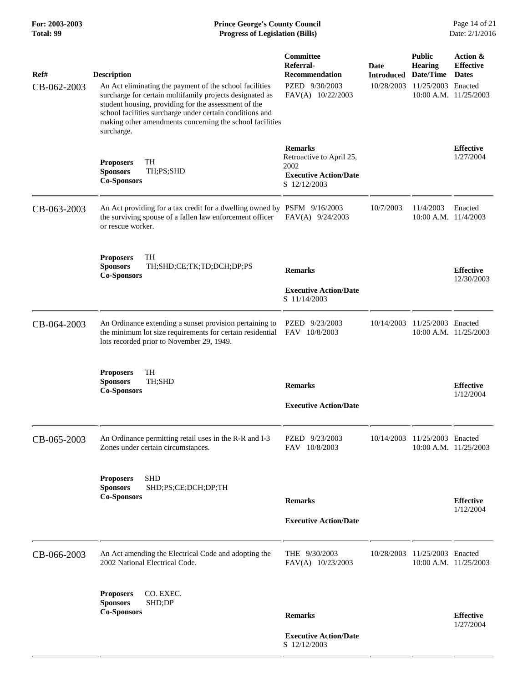| Ref#<br>CB-062-2003 | <b>Description</b><br>An Act eliminating the payment of the school facilities<br>surcharge for certain multifamily projects designated as<br>student housing, providing for the assessment of the<br>school facilities surcharge under certain conditions and<br>making other amendments concerning the school facilities<br>surcharge. | Committee<br>Referral-<br>Recommendation<br>PZED 9/30/2003<br>FAV(A) 10/22/2003                    | Date<br><b>Introduced</b><br>10/28/2003 | <b>Public</b><br><b>Hearing</b><br>Date/Time<br>11/25/2003 Enacted<br>10:00 A.M. 11/25/2003 | Action &<br><b>Effective</b><br><b>Dates</b> |  |
|---------------------|-----------------------------------------------------------------------------------------------------------------------------------------------------------------------------------------------------------------------------------------------------------------------------------------------------------------------------------------|----------------------------------------------------------------------------------------------------|-----------------------------------------|---------------------------------------------------------------------------------------------|----------------------------------------------|--|
|                     | TH<br><b>Proposers</b><br><b>Sponsors</b><br>TH;PS;SHD<br><b>Co-Sponsors</b>                                                                                                                                                                                                                                                            | <b>Remarks</b><br>Retroactive to April 25,<br>2002<br><b>Executive Action/Date</b><br>S 12/12/2003 |                                         |                                                                                             | <b>Effective</b><br>1/27/2004                |  |
| CB-063-2003         | An Act providing for a tax credit for a dwelling owned by PSFM 9/16/2003<br>the surviving spouse of a fallen law enforcement officer<br>or rescue worker.                                                                                                                                                                               | FAV(A) 9/24/2003                                                                                   | 10/7/2003                               | 11/4/2003<br>10:00 A.M. 11/4/2003                                                           | Enacted                                      |  |
|                     | TH<br><b>Proposers</b><br>TH;SHD;CE;TK;TD;DCH;DP;PS<br><b>Sponsors</b><br><b>Co-Sponsors</b>                                                                                                                                                                                                                                            | <b>Remarks</b><br><b>Executive Action/Date</b><br>S 11/14/2003                                     |                                         |                                                                                             | <b>Effective</b><br>12/30/2003               |  |
| CB-064-2003         | An Ordinance extending a sunset provision pertaining to<br>the minimum lot size requirements for certain residential<br>lots recorded prior to November 29, 1949.                                                                                                                                                                       | PZED 9/23/2003<br>FAV 10/8/2003                                                                    | 10/14/2003                              | 11/25/2003 Enacted                                                                          | 10:00 A.M. 11/25/2003                        |  |
|                     | TH<br><b>Proposers</b><br><b>Sponsors</b><br>TH;SHD<br><b>Co-Sponsors</b>                                                                                                                                                                                                                                                               | <b>Remarks</b><br><b>Executive Action/Date</b>                                                     |                                         |                                                                                             | <b>Effective</b><br>1/12/2004                |  |
| CB-065-2003         | An Ordinance permitting retail uses in the R-R and I-3<br>Zones under certain circumstances.                                                                                                                                                                                                                                            | PZED 9/23/2003<br>FAV 10/8/2003                                                                    | 10/14/2003                              | 11/25/2003 Enacted                                                                          | 10:00 A.M. 11/25/2003                        |  |
|                     | <b>SHD</b><br><b>Proposers</b><br><b>Sponsors</b><br>SHD;PS;CE;DCH;DP;TH<br><b>Co-Sponsors</b>                                                                                                                                                                                                                                          | <b>Remarks</b><br><b>Executive Action/Date</b>                                                     |                                         |                                                                                             | <b>Effective</b><br>1/12/2004                |  |
| CB-066-2003         | An Act amending the Electrical Code and adopting the<br>2002 National Electrical Code.                                                                                                                                                                                                                                                  | THE 9/30/2003<br>FAV(A) 10/23/2003                                                                 | 10/28/2003                              | 11/25/2003 Enacted                                                                          | 10:00 A.M. 11/25/2003                        |  |
|                     | <b>Proposers</b><br>CO. EXEC.<br>SHD;DP<br><b>Sponsors</b><br><b>Co-Sponsors</b>                                                                                                                                                                                                                                                        |                                                                                                    |                                         |                                                                                             |                                              |  |
|                     |                                                                                                                                                                                                                                                                                                                                         | <b>Remarks</b><br><b>Executive Action/Date</b><br>S 12/12/2003                                     |                                         |                                                                                             | <b>Effective</b><br>1/27/2004                |  |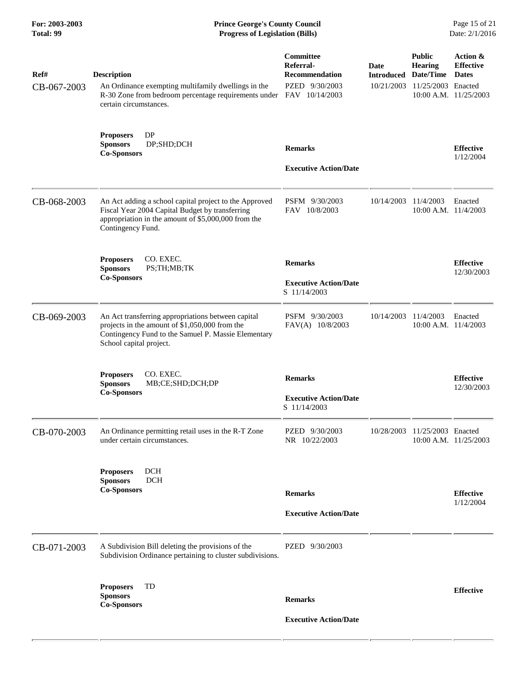| For: 2003-2003<br>Total: 99 | <b>Prince George's County Council</b><br>Page 15 of 21<br>Date: 2/1/2016<br><b>Progress of Legislation (Bills)</b>                                                                     |                                                                   |                                         |                                                                    |                                                                       |
|-----------------------------|----------------------------------------------------------------------------------------------------------------------------------------------------------------------------------------|-------------------------------------------------------------------|-----------------------------------------|--------------------------------------------------------------------|-----------------------------------------------------------------------|
| Ref#<br>CB-067-2003         | <b>Description</b><br>An Ordinance exempting multifamily dwellings in the<br>R-30 Zone from bedroom percentage requirements under FAV 10/14/2003<br>certain circumstances.             | Committee<br>Referral-<br><b>Recommendation</b><br>PZED 9/30/2003 | Date<br><b>Introduced</b><br>10/21/2003 | <b>Public</b><br><b>Hearing</b><br>Date/Time<br>11/25/2003 Enacted | Action &<br><b>Effective</b><br><b>Dates</b><br>10:00 A.M. 11/25/2003 |
|                             | <b>Proposers</b><br>DP<br>DP;SHD;DCH<br><b>Sponsors</b><br><b>Co-Sponsors</b>                                                                                                          | <b>Remarks</b><br><b>Executive Action/Date</b>                    |                                         |                                                                    | <b>Effective</b><br>1/12/2004                                         |
| CB-068-2003                 | An Act adding a school capital project to the Approved<br>Fiscal Year 2004 Capital Budget by transferring<br>appropriation in the amount of \$5,000,000 from the<br>Contingency Fund.  | PSFM 9/30/2003<br>FAV 10/8/2003                                   | 10/14/2003                              | 11/4/2003<br>10:00 A.M. 11/4/2003                                  | Enacted                                                               |
|                             | CO. EXEC.<br><b>Proposers</b><br><b>Sponsors</b><br>PS;TH;MB;TK<br><b>Co-Sponsors</b>                                                                                                  | <b>Remarks</b><br><b>Executive Action/Date</b><br>S 11/14/2003    |                                         |                                                                    | <b>Effective</b><br>12/30/2003                                        |
| CB-069-2003                 | An Act transferring appropriations between capital<br>projects in the amount of \$1,050,000 from the<br>Contingency Fund to the Samuel P. Massie Elementary<br>School capital project. | PSFM 9/30/2003<br>FAV(A) 10/8/2003                                | 10/14/2003                              | 11/4/2003<br>$10:00$ A.M. $11/4/2003$                              | Enacted                                                               |
|                             | CO. EXEC.<br><b>Proposers</b><br>MB;CE;SHD;DCH;DP<br><b>Sponsors</b><br><b>Co-Sponsors</b>                                                                                             | <b>Remarks</b><br><b>Executive Action/Date</b><br>S 11/14/2003    |                                         |                                                                    | <b>Effective</b><br>12/30/2003                                        |
| CB-070-2003                 | An Ordinance permitting retail uses in the R-T Zone<br>under certain circumstances.                                                                                                    | PZED 9/30/2003<br>NR 10/22/2003                                   | 10/28/2003                              | 11/25/2003 Enacted                                                 | 10:00 A.M. 11/25/2003                                                 |
|                             | <b>DCH</b><br><b>Proposers</b><br><b>DCH</b><br><b>Sponsors</b><br><b>Co-Sponsors</b>                                                                                                  | <b>Remarks</b><br><b>Executive Action/Date</b>                    |                                         |                                                                    | <b>Effective</b><br>1/12/2004                                         |
| CB-071-2003                 | A Subdivision Bill deleting the provisions of the<br>Subdivision Ordinance pertaining to cluster subdivisions.                                                                         | PZED 9/30/2003                                                    |                                         |                                                                    |                                                                       |
|                             | TD<br><b>Proposers</b><br><b>Sponsors</b><br><b>Co-Sponsors</b>                                                                                                                        | <b>Remarks</b><br><b>Executive Action/Date</b>                    |                                         |                                                                    | <b>Effective</b>                                                      |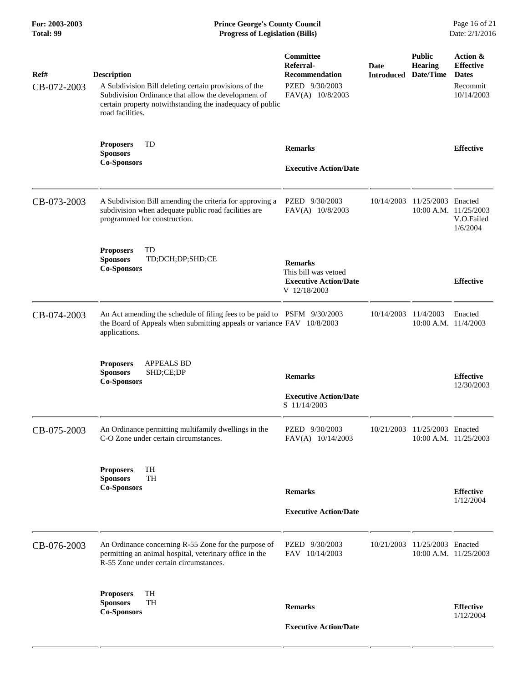## **For: 2003-2003 Prince George's County Council** Page 16 of 21 **Prince George's County Council** Page 16 of 21 **Progress of Legislation (Bills)** Date: 2/1/2016 **Total: 99 Progress of Legislation (Bills)**

| Ref#<br>CB-072-2003 | <b>Description</b><br>A Subdivision Bill deleting certain provisions of the<br>Subdivision Ordinance that allow the development of<br>certain property notwithstanding the inadequacy of public<br>road facilities. | Committee<br>Referral-<br><b>Recommendation</b><br>PZED 9/30/2003<br>FAV(A) 10/8/2003  | <b>Date</b><br><b>Introduced</b> | <b>Public</b><br><b>Hearing</b><br>Date/Time | Action &<br><b>Effective</b><br><b>Dates</b><br>Recommit<br>10/14/2003 |
|---------------------|---------------------------------------------------------------------------------------------------------------------------------------------------------------------------------------------------------------------|----------------------------------------------------------------------------------------|----------------------------------|----------------------------------------------|------------------------------------------------------------------------|
|                     | TD<br><b>Proposers</b><br><b>Sponsors</b><br><b>Co-Sponsors</b>                                                                                                                                                     | <b>Remarks</b><br><b>Executive Action/Date</b>                                         |                                  |                                              | <b>Effective</b>                                                       |
| CB-073-2003         | A Subdivision Bill amending the criteria for approving a<br>subdivision when adequate public road facilities are<br>programmed for construction.                                                                    | PZED 9/30/2003<br>FAV(A) 10/8/2003                                                     | 10/14/2003                       | 11/25/2003 Enacted<br>10:00 A.M. 11/25/2003  | V.O.Failed<br>1/6/2004                                                 |
|                     | TD<br><b>Proposers</b><br><b>Sponsors</b><br>TD;DCH;DP;SHD;CE<br><b>Co-Sponsors</b>                                                                                                                                 | <b>Remarks</b><br>This bill was vetoed<br><b>Executive Action/Date</b><br>V 12/18/2003 |                                  |                                              | <b>Effective</b>                                                       |
| CB-074-2003         | An Act amending the schedule of filing fees to be paid to PSFM 9/30/2003<br>the Board of Appeals when submitting appeals or variance FAV 10/8/2003<br>applications.                                                 |                                                                                        | 10/14/2003                       | 11/4/2003<br>$10:00$ A.M. $11/4/2003$        | Enacted                                                                |
|                     | <b>Proposers</b><br>APPEALS BD<br>SHD;CE;DP<br><b>Sponsors</b><br><b>Co-Sponsors</b>                                                                                                                                | <b>Remarks</b><br><b>Executive Action/Date</b><br>S 11/14/2003                         |                                  |                                              | <b>Effective</b><br>12/30/2003                                         |
| CB-075-2003         | An Ordinance permitting multifamily dwellings in the<br>C-O Zone under certain circumstances.                                                                                                                       | PZED 9/30/2003<br>FAV(A) 10/14/2003                                                    | 10/21/2003                       | 11/25/2003 Enacted                           | 10:00 A.M. 11/25/2003                                                  |
|                     | TH<br><b>Proposers</b><br>TH<br><b>Sponsors</b><br><b>Co-Sponsors</b>                                                                                                                                               | <b>Remarks</b><br><b>Executive Action/Date</b>                                         |                                  |                                              | <b>Effective</b><br>1/12/2004                                          |
| CB-076-2003         | An Ordinance concerning R-55 Zone for the purpose of<br>permitting an animal hospital, veterinary office in the<br>R-55 Zone under certain circumstances.                                                           | PZED 9/30/2003<br>FAV 10/14/2003                                                       | 10/21/2003                       | 11/25/2003 Enacted                           | 10:00 A.M. 11/25/2003                                                  |
|                     | TH<br><b>Proposers</b><br>TH<br><b>Sponsors</b><br><b>Co-Sponsors</b>                                                                                                                                               | <b>Remarks</b><br><b>Executive Action/Date</b>                                         |                                  |                                              | <b>Effective</b><br>1/12/2004                                          |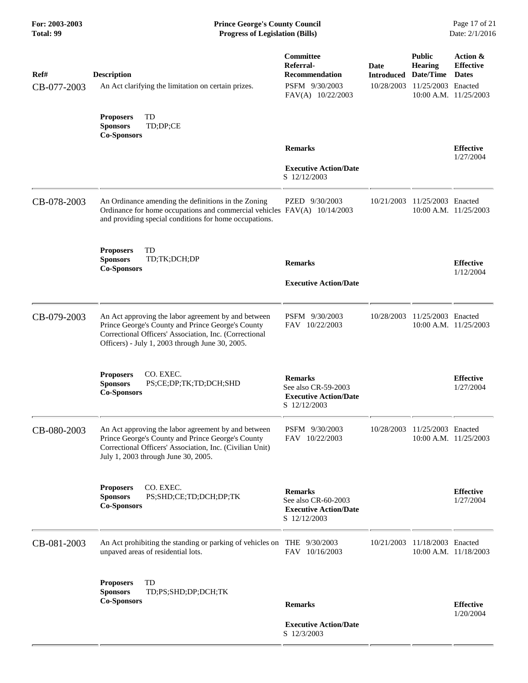| Ref#<br>CB-077-2003 | <b>Description</b><br>An Act clarifying the limitation on certain prizes.                                                                                                                                             | Committee<br>Referral-<br><b>Recommendation</b><br>PSFM 9/30/2003<br>FAV(A) 10/22/2003 | Date<br><b>Introduced Date/Time</b><br>10/28/2003 | <b>Public</b><br><b>Hearing</b><br>11/25/2003 Enacted | Action &<br><b>Effective</b><br><b>Dates</b><br>10:00 A.M. 11/25/2003 |
|---------------------|-----------------------------------------------------------------------------------------------------------------------------------------------------------------------------------------------------------------------|----------------------------------------------------------------------------------------|---------------------------------------------------|-------------------------------------------------------|-----------------------------------------------------------------------|
|                     | TD<br><b>Proposers</b><br>TD;DP;CE<br><b>Sponsors</b><br><b>Co-Sponsors</b>                                                                                                                                           |                                                                                        |                                                   |                                                       |                                                                       |
|                     |                                                                                                                                                                                                                       | <b>Remarks</b><br><b>Executive Action/Date</b><br>S 12/12/2003                         |                                                   |                                                       | <b>Effective</b><br>1/27/2004                                         |
| CB-078-2003         | An Ordinance amending the definitions in the Zoning<br>Ordinance for home occupations and commercial vehicles FAV(A) 10/14/2003<br>and providing special conditions for home occupations.                             | PZED 9/30/2003                                                                         | 10/21/2003                                        | 11/25/2003 Enacted                                    | 10:00 A.M. 11/25/2003                                                 |
|                     | <b>Proposers</b><br>TD<br><b>Sponsors</b><br>TD;TK;DCH;DP<br><b>Co-Sponsors</b>                                                                                                                                       | <b>Remarks</b><br><b>Executive Action/Date</b>                                         |                                                   |                                                       | <b>Effective</b><br>1/12/2004                                         |
| CB-079-2003         | An Act approving the labor agreement by and between<br>Prince George's County and Prince George's County<br>Correctional Officers' Association, Inc. (Correctional<br>Officers) - July 1, 2003 through June 30, 2005. | PSFM 9/30/2003<br>FAV 10/22/2003                                                       | 10/28/2003                                        | 11/25/2003 Enacted                                    | 10:00 A.M. 11/25/2003                                                 |
|                     | CO. EXEC.<br><b>Proposers</b><br><b>Sponsors</b><br>PS;CE;DP;TK;TD;DCH;SHD<br><b>Co-Sponsors</b>                                                                                                                      | <b>Remarks</b><br>See also CR-59-2003<br><b>Executive Action/Date</b><br>S 12/12/2003  |                                                   |                                                       | <b>Effective</b><br>1/27/2004                                         |
| CB-080-2003         | An Act approving the labor agreement by and between<br>Prince George's County and Prince George's County<br>Correctional Officers' Association, Inc. (Civilian Unit)<br>July 1, 2003 through June 30, 2005.           | PSFM 9/30/2003<br>FAV 10/22/2003                                                       | 10/28/2003                                        | 11/25/2003 Enacted                                    | 10:00 A.M. 11/25/2003                                                 |
|                     | CO. EXEC.<br><b>Proposers</b><br><b>Sponsors</b><br>PS;SHD;CE;TD;DCH;DP;TK<br><b>Co-Sponsors</b>                                                                                                                      | <b>Remarks</b><br>See also CR-60-2003<br><b>Executive Action/Date</b><br>S 12/12/2003  |                                                   |                                                       | <b>Effective</b><br>1/27/2004                                         |
| CB-081-2003         | An Act prohibiting the standing or parking of vehicles on THE 9/30/2003<br>unpaved areas of residential lots.                                                                                                         | FAV 10/16/2003                                                                         | 10/21/2003                                        | 11/18/2003 Enacted                                    | 10:00 A.M. 11/18/2003                                                 |
|                     | TD<br><b>Proposers</b><br><b>Sponsors</b><br>TD;PS;SHD;DP;DCH;TK<br><b>Co-Sponsors</b>                                                                                                                                | <b>Remarks</b>                                                                         |                                                   |                                                       | <b>Effective</b>                                                      |
|                     |                                                                                                                                                                                                                       | <b>Executive Action/Date</b><br>S 12/3/2003                                            |                                                   |                                                       | 1/20/2004                                                             |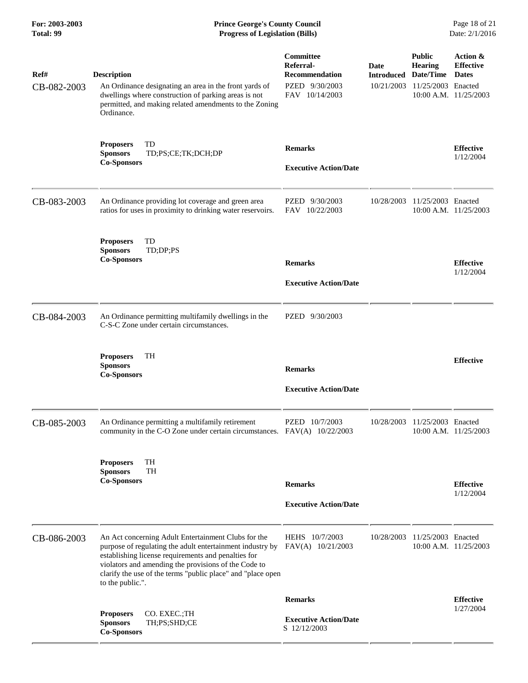## **For: 2003-2003 Prince George's County Council** Page 18 of 21 **Prince George's County Council** Page 18 of 21 **Progress of Legislation (Bills)** Date: 2/1/2016 **Total: 99 Progress of Legislation (Bills)**

| Ref#<br>CB-082-2003 | <b>Description</b><br>An Ordinance designating an area in the front yards of<br>dwellings where construction of parking areas is not<br>permitted, and making related amendments to the Zoning<br>Ordinance.                                                                                                       | Committee<br>Referral-<br><b>Recommendation</b><br>PZED 9/30/2003<br>FAV 10/14/2003 | Date<br><b>Introduced</b><br>10/21/2003 | <b>Public</b><br><b>Hearing</b><br>Date/Time<br>11/25/2003 Enacted<br>10:00 A.M. 11/25/2003 | Action &<br><b>Effective</b><br><b>Dates</b> |
|---------------------|--------------------------------------------------------------------------------------------------------------------------------------------------------------------------------------------------------------------------------------------------------------------------------------------------------------------|-------------------------------------------------------------------------------------|-----------------------------------------|---------------------------------------------------------------------------------------------|----------------------------------------------|
|                     | TD<br><b>Proposers</b><br><b>Sponsors</b><br>TD;PS;CE;TK;DCH;DP<br><b>Co-Sponsors</b>                                                                                                                                                                                                                              | <b>Remarks</b><br><b>Executive Action/Date</b>                                      |                                         |                                                                                             | <b>Effective</b><br>1/12/2004                |
| CB-083-2003         | An Ordinance providing lot coverage and green area<br>ratios for uses in proximity to drinking water reservoirs.                                                                                                                                                                                                   | PZED 9/30/2003<br>FAV 10/22/2003                                                    | 10/28/2003                              | 11/25/2003 Enacted<br>10:00 A.M. 11/25/2003                                                 |                                              |
|                     | <b>Proposers</b><br>TD<br>TD;DP;PS<br><b>Sponsors</b><br><b>Co-Sponsors</b>                                                                                                                                                                                                                                        | <b>Remarks</b><br><b>Executive Action/Date</b>                                      |                                         |                                                                                             | <b>Effective</b><br>1/12/2004                |
| CB-084-2003         | An Ordinance permitting multifamily dwellings in the<br>C-S-C Zone under certain circumstances.                                                                                                                                                                                                                    | PZED 9/30/2003                                                                      |                                         |                                                                                             |                                              |
|                     | <b>TH</b><br><b>Proposers</b><br><b>Sponsors</b><br><b>Co-Sponsors</b>                                                                                                                                                                                                                                             | <b>Remarks</b><br><b>Executive Action/Date</b>                                      |                                         |                                                                                             | <b>Effective</b>                             |
| CB-085-2003         | An Ordinance permitting a multifamily retirement<br>community in the C-O Zone under certain circumstances. FAV(A) 10/22/2003                                                                                                                                                                                       | PZED 10/7/2003                                                                      | 10/28/2003                              | 11/25/2003 Enacted<br>10:00 A.M. 11/25/2003                                                 |                                              |
|                     | TH<br><b>Proposers</b><br><b>Sponsors</b><br><b>TH</b><br><b>Co-Sponsors</b>                                                                                                                                                                                                                                       | <b>Remarks</b><br><b>Executive Action/Date</b>                                      |                                         |                                                                                             | <b>Effective</b><br>1/12/2004                |
| CB-086-2003         | An Act concerning Adult Entertainment Clubs for the<br>purpose of regulating the adult entertainment industry by<br>establishing license requirements and penalties for<br>violators and amending the provisions of the Code to<br>clarify the use of the terms "public place" and "place open<br>to the public.". | HEHS 10/7/2003<br>FAV(A) 10/21/2003                                                 | 10/28/2003                              | 11/25/2003 Enacted<br>10:00 A.M. 11/25/2003                                                 |                                              |
|                     | CO. EXEC.;TH<br><b>Proposers</b>                                                                                                                                                                                                                                                                                   | <b>Remarks</b>                                                                      |                                         |                                                                                             | <b>Effective</b><br>1/27/2004                |
|                     | TH;PS;SHD;CE<br><b>Sponsors</b><br><b>Co-Sponsors</b>                                                                                                                                                                                                                                                              | <b>Executive Action/Date</b><br>S 12/12/2003                                        |                                         |                                                                                             |                                              |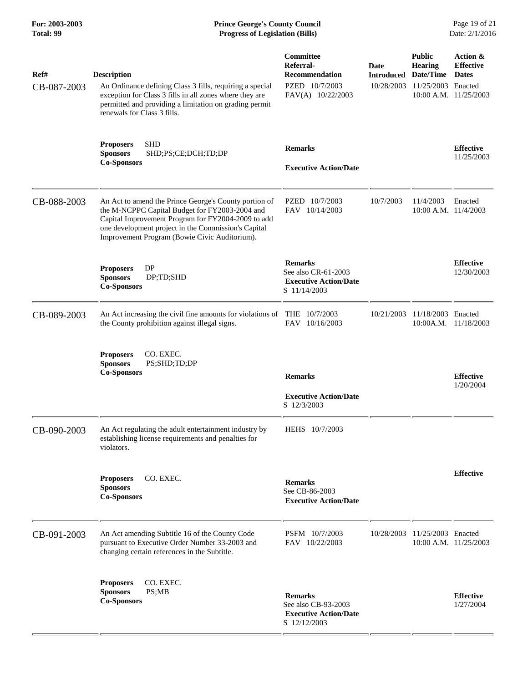| For: 2003-2003<br>Total: 99 | <b>Prince George's County Council</b><br>Page 19 of 21<br><b>Progress of Legislation (Bills)</b><br>Date: 2/1/2016                                                                                                                                                    |                                                                                               |                                         |                                                                    |                                                                           |
|-----------------------------|-----------------------------------------------------------------------------------------------------------------------------------------------------------------------------------------------------------------------------------------------------------------------|-----------------------------------------------------------------------------------------------|-----------------------------------------|--------------------------------------------------------------------|---------------------------------------------------------------------------|
| Ref#<br>CB-087-2003         | <b>Description</b><br>An Ordinance defining Class 3 fills, requiring a special<br>exception for Class 3 fills in all zones where they are<br>permitted and providing a limitation on grading permit<br>renewals for Class 3 fills.                                    | <b>Committee</b><br>Referral-<br><b>Recommendation</b><br>PZED 10/7/2003<br>FAV(A) 10/22/2003 | Date<br><b>Introduced</b><br>10/28/2003 | <b>Public</b><br><b>Hearing</b><br>Date/Time<br>11/25/2003 Enacted | Action &<br><b>Effective</b><br><b>Dates</b><br>$10:00$ A.M. $11/25/2003$ |
|                             | <b>SHD</b><br><b>Proposers</b><br><b>Sponsors</b><br>SHD;PS;CE;DCH;TD;DP<br><b>Co-Sponsors</b>                                                                                                                                                                        | <b>Remarks</b><br><b>Executive Action/Date</b>                                                |                                         |                                                                    | <b>Effective</b><br>11/25/2003                                            |
| CB-088-2003                 | An Act to amend the Prince George's County portion of<br>the M-NCPPC Capital Budget for FY2003-2004 and<br>Capital Improvement Program for FY2004-2009 to add<br>one development project in the Commission's Capital<br>Improvement Program (Bowie Civic Auditorium). | PZED 10/7/2003<br>FAV 10/14/2003                                                              | 10/7/2003                               | 11/4/2003<br>$10:00$ A.M. $11/4/2003$                              | Enacted                                                                   |
|                             | DP<br><b>Proposers</b><br><b>Sponsors</b><br>DP;TD;SHD<br><b>Co-Sponsors</b>                                                                                                                                                                                          | <b>Remarks</b><br>See also CR-61-2003<br><b>Executive Action/Date</b><br>S 11/14/2003         |                                         |                                                                    | <b>Effective</b><br>12/30/2003                                            |
| CB-089-2003                 | An Act increasing the civil fine amounts for violations of THE 10/7/2003<br>the County prohibition against illegal signs.                                                                                                                                             | FAV 10/16/2003                                                                                | 10/21/2003                              | 11/18/2003 Enacted                                                 | 10:00A.M. 11/18/2003                                                      |
|                             | CO. EXEC.<br><b>Proposers</b><br><b>Sponsors</b><br>PS;SHD;TD;DP<br><b>Co-Sponsors</b>                                                                                                                                                                                | <b>Remarks</b><br><b>Executive Action/Date</b><br>S 12/3/2003                                 |                                         |                                                                    | <b>Effective</b><br>1/20/2004                                             |
| CB-090-2003                 | An Act regulating the adult entertainment industry by<br>establishing license requirements and penalties for<br>violators.                                                                                                                                            | HEHS 10/7/2003                                                                                |                                         |                                                                    |                                                                           |
|                             | CO. EXEC.<br><b>Proposers</b><br><b>Sponsors</b><br><b>Co-Sponsors</b>                                                                                                                                                                                                | <b>Remarks</b><br>See CB-86-2003<br><b>Executive Action/Date</b>                              |                                         |                                                                    | <b>Effective</b>                                                          |
| CB-091-2003                 | An Act amending Subtitle 16 of the County Code<br>pursuant to Executive Order Number 33-2003 and<br>changing certain references in the Subtitle.                                                                                                                      | PSFM 10/7/2003<br>FAV 10/22/2003                                                              | 10/28/2003                              | 11/25/2003 Enacted                                                 | 10:00 A.M. 11/25/2003                                                     |
|                             | CO. EXEC.<br><b>Proposers</b><br><b>Sponsors</b><br>PS;MB<br><b>Co-Sponsors</b>                                                                                                                                                                                       | <b>Remarks</b><br>See also CB-93-2003<br><b>Executive Action/Date</b><br>S 12/12/2003         |                                         |                                                                    | <b>Effective</b><br>1/27/2004                                             |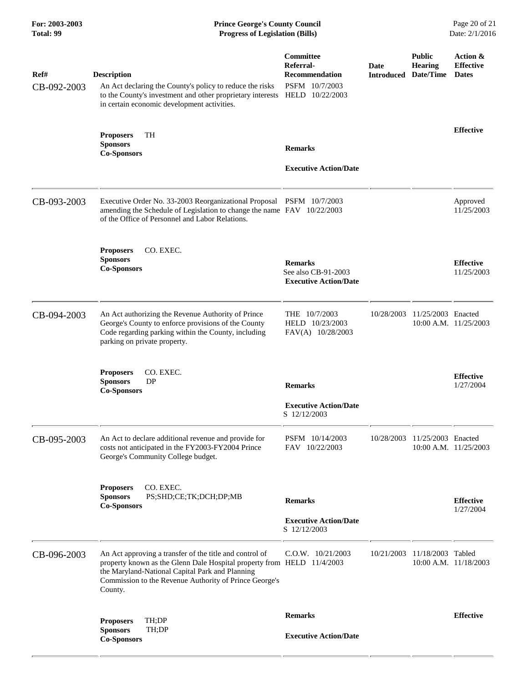# **For: 2003-2003 Prince George's County Council** Page 20 of 21 **Prince George's County Council** Page 20 of 21 **Progress of Legislation (Bills)** Date: 2/1/2016 **Total: 99 Progress of Legislation (Bills)**

| Ref#<br>CB-092-2003 | <b>Description</b><br>An Act declaring the County's policy to reduce the risks<br>to the County's investment and other proprietary interests<br>in certain economic development activities.                                                               | Committee<br>Referral-<br><b>Recommendation</b><br>PSFM 10/7/2003<br>HELD 10/22/2003 | Date<br><b>Introduced Date/Time</b> | <b>Public</b><br>Hearing      | Action &<br><b>Effective</b><br><b>Dates</b> |
|---------------------|-----------------------------------------------------------------------------------------------------------------------------------------------------------------------------------------------------------------------------------------------------------|--------------------------------------------------------------------------------------|-------------------------------------|-------------------------------|----------------------------------------------|
|                     | <b>Proposers</b><br>TH<br><b>Sponsors</b><br><b>Co-Sponsors</b>                                                                                                                                                                                           | <b>Remarks</b><br><b>Executive Action/Date</b>                                       |                                     |                               | <b>Effective</b>                             |
| CB-093-2003         | Executive Order No. 33-2003 Reorganizational Proposal PSFM 10/7/2003<br>amending the Schedule of Legislation to change the name FAV 10/22/2003<br>of the Office of Personnel and Labor Relations.                                                         |                                                                                      |                                     |                               | Approved<br>11/25/2003                       |
|                     | CO. EXEC.<br><b>Proposers</b><br><b>Sponsors</b><br><b>Co-Sponsors</b>                                                                                                                                                                                    | <b>Remarks</b><br>See also CB-91-2003<br><b>Executive Action/Date</b>                |                                     |                               | <b>Effective</b><br>11/25/2003               |
| CB-094-2003         | An Act authorizing the Revenue Authority of Prince<br>George's County to enforce provisions of the County<br>Code regarding parking within the County, including<br>parking on private property.                                                          | THE 10/7/2003<br>HELD 10/23/2003<br>FAV(A) 10/28/2003                                | 10/28/2003                          | 11/25/2003 Enacted            | 10:00 A.M. 11/25/2003                        |
|                     | CO. EXEC.<br><b>Proposers</b><br><b>Sponsors</b><br>DP<br><b>Co-Sponsors</b>                                                                                                                                                                              | <b>Remarks</b><br><b>Executive Action/Date</b><br>S 12/12/2003                       |                                     |                               | <b>Effective</b><br>1/27/2004                |
| CB-095-2003         | An Act to declare additional revenue and provide for<br>costs not anticipated in the FY2003-FY2004 Prince<br>George's Community College budget.                                                                                                           | PSFM 10/14/2003<br>FAV 10/22/2003                                                    |                                     | 10/28/2003 11/25/2003 Enacted | $10:00$ A.M. $11/25/2003$                    |
|                     | CO. EXEC.<br><b>Proposers</b><br><b>Sponsors</b><br>PS;SHD;CE;TK;DCH;DP;MB<br><b>Co-Sponsors</b>                                                                                                                                                          | <b>Remarks</b><br><b>Executive Action/Date</b><br>S 12/12/2003                       |                                     |                               | <b>Effective</b><br>1/27/2004                |
| CB-096-2003         | An Act approving a transfer of the title and control of<br>property known as the Glenn Dale Hospital property from HELD 11/4/2003<br>the Maryland-National Capital Park and Planning<br>Commission to the Revenue Authority of Prince George's<br>County. | $C.0.W.$ $10/21/2003$                                                                | 10/21/2003                          | 11/18/2003 Tabled             | 10:00 A.M. 11/18/2003                        |
|                     | TH;DP<br><b>Proposers</b><br><b>Sponsors</b><br>TH;DP                                                                                                                                                                                                     | <b>Remarks</b>                                                                       |                                     |                               | <b>Effective</b>                             |
|                     | <b>Co-Sponsors</b>                                                                                                                                                                                                                                        | <b>Executive Action/Date</b>                                                         |                                     |                               |                                              |